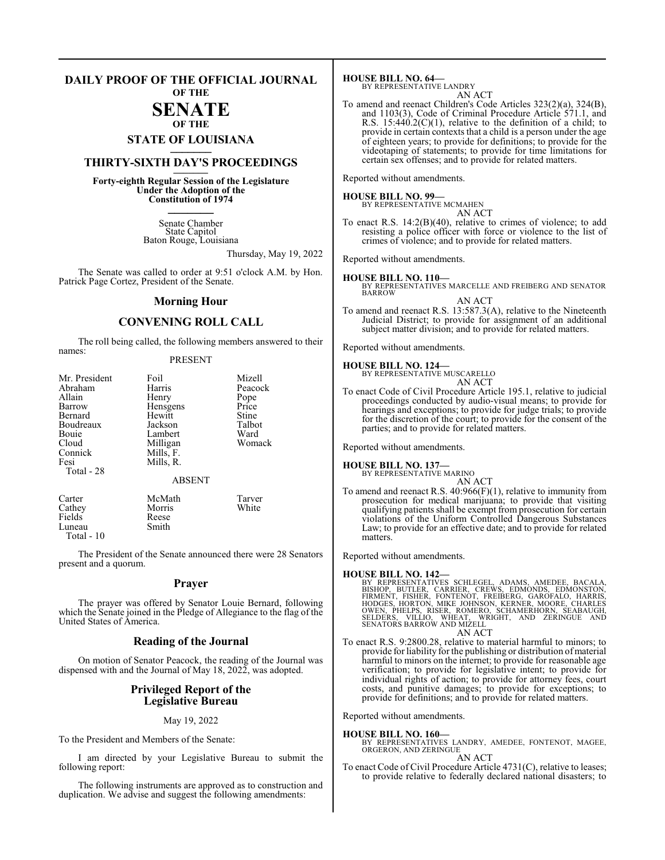#### **DAILY PROOF OF THE OFFICIAL JOURNAL OF THE**

## **SENATE**

## **OF THE**

# **STATE OF LOUISIANA \_\_\_\_\_\_\_**

## **THIRTY-SIXTH DAY'S PROCEEDINGS \_\_\_\_\_\_\_**

**Forty-eighth Regular Session of the Legislature Under the Adoption of the Constitution of 1974 \_\_\_\_\_\_\_**

> Senate Chamber State Capitol Baton Rouge, Louisiana

> > Thursday, May 19, 2022

The Senate was called to order at 9:51 o'clock A.M. by Hon. Patrick Page Cortez, President of the Senate.

#### **Morning Hour**

## **CONVENING ROLL CALL**

The roll being called, the following members answered to their names:

#### PRESENT

| Mr. President<br>Abraham | Foil<br>Harris | Mizell<br>Peacock |
|--------------------------|----------------|-------------------|
| Allain                   | Henry          | Pope              |
| Barrow                   | Hensgens       | Price             |
| Bernard                  | Hewitt         | Stine             |
| Boudreaux                | Jackson        | Talbot            |
| Bouie                    | Lambert        | Ward              |
| Cloud                    | Milligan       | Womack            |
| Connick                  | Mills, F.      |                   |
| Fesi                     | Mills, R.      |                   |
| Total - 28               |                |                   |
|                          | <b>ABSENT</b>  |                   |
| Carter                   | McMath         | Tarver            |
| Cathey                   | Morris         | White             |
| Fields                   | Reese          |                   |

Luneau Smith Total - 10

The President of the Senate announced there were 28 Senators present and a quorum.

#### **Prayer**

The prayer was offered by Senator Louie Bernard, following which the Senate joined in the Pledge of Allegiance to the flag of the United States of America.

#### **Reading of the Journal**

On motion of Senator Peacock, the reading of the Journal was dispensed with and the Journal of May 18, 2022, was adopted.

#### **Privileged Report of the Legislative Bureau**

#### May 19, 2022

To the President and Members of the Senate:

I am directed by your Legislative Bureau to submit the following report:

The following instruments are approved as to construction and duplication. We advise and suggest the following amendments:

**HOUSE BILL NO. 64—** BY REPRESENTATIVE LANDRY

- AN ACT
- To amend and reenact Children's Code Articles 323(2)(a), 324(B), and 1103(3), Code of Criminal Procedure Article 571.1, and R.S.  $15:440.2(C)(1)$ , relative to the definition of a child; to provide in certain contexts that a child is a person under the age of eighteen years; to provide for definitions; to provide for the videotaping of statements; to provide for time limitations for certain sex offenses; and to provide for related matters.

Reported without amendments.

#### **HOUSE BILL NO. 99—**

BY REPRESENTATIVE MCMAHEN

AN ACT To enact R.S. 14:2(B)(40), relative to crimes of violence; to add resisting a police officer with force or violence to the list of crimes of violence; and to provide for related matters.

Reported without amendments.

#### **HOUSE BILL NO. 110—**

BY REPRESENTATIVES MARCELLE AND FREIBERG AND SENATOR BARROW

AN ACT To amend and reenact R.S. 13:587.3(A), relative to the Nineteenth Judicial District; to provide for assignment of an additional subject matter division; and to provide for related matters.

Reported without amendments.

#### **HOUSE BILL NO. 124—**

BY REPRESENTATIVE MUSCARELLO AN ACT

To enact Code of Civil Procedure Article 195.1, relative to judicial proceedings conducted by audio-visual means; to provide for hearings and exceptions; to provide for judge trials; to provide for the discretion of the court; to provide for the consent of the parties; and to provide for related matters.

Reported without amendments.

#### **HOUSE BILL NO. 137—**

BY REPRESENTATIVE MARINO

AN ACT To amend and reenact R.S.  $40:966(F)(1)$ , relative to immunity from prosecution for medical marijuana; to provide that visiting qualifying patients shall be exempt from prosecution for certain violations of the Uniform Controlled Dangerous Substances Law; to provide for an effective date; and to provide for related

Reported without amendments.

matters.

**HOUSE BILL NO. 142—** BY REPRESENTATIVES SCHLEGEL, ADAMS, AMEDEE, BACALA, BISHOP, BUTLER, CARRIER, CREWS, EDMONDS, EDMONSTON,<br>FIRMENT, FISHER, FONTENOT, FREIBERG, GAROFALO, HARRIS,<br>HODGES, HORTON, MIKE JOHNSON, KERNER, MOORE, CHARLES<br>OWEN, PHELPS, RISER, ROMERO, SCHAMERHORN, SEABAUGH,<br>SELDERS, V SEEDERS, VIEELS, WIEHT,

AN ACT

To enact R.S. 9:2800.28, relative to material harmful to minors; to provide for liability for the publishing or distribution of material harmful to minors on the internet; to provide for reasonable age verification; to provide for legislative intent; to provide for individual rights of action; to provide for attorney fees, court costs, and punitive damages; to provide for exceptions; to provide for definitions; and to provide for related matters.

Reported without amendments.

**HOUSE BILL NO. 160—** BY REPRESENTATIVES LANDRY, AMEDEE, FONTENOT, MAGEE, ORGERON, AND ZERINGUE

#### AN ACT

To enact Code of Civil Procedure Article 4731(C), relative to leases; to provide relative to federally declared national disasters; to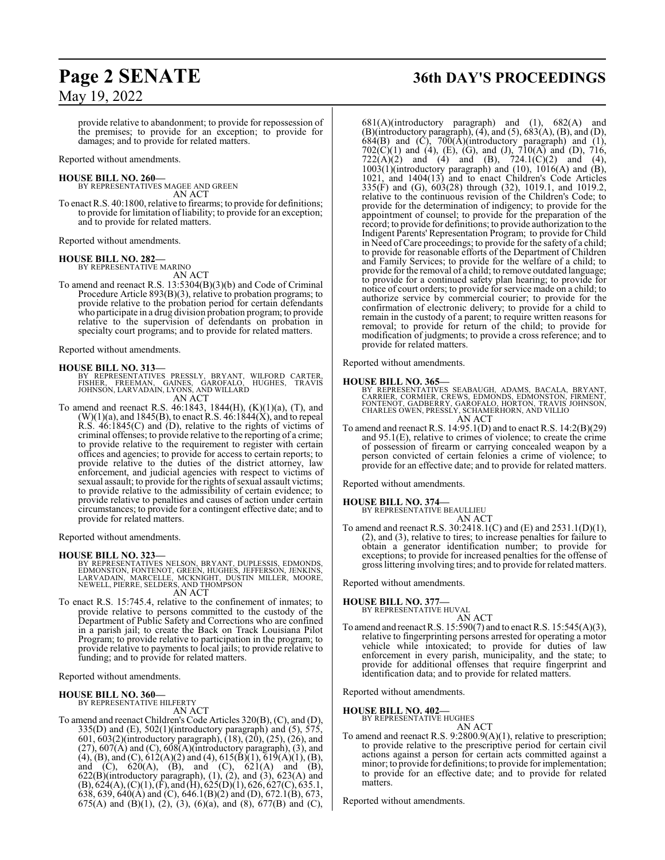provide relative to abandonment; to provide for repossession of the premises; to provide for an exception; to provide for damages; and to provide for related matters.

Reported without amendments.

**HOUSE BILL NO. 260—** BY REPRESENTATIVES MAGEE AND GREEN AN ACT

To enact R.S. 40:1800, relative to firearms; to provide for definitions; to provide for limitation of liability; to provide for an exception; and to provide for related matters.

Reported without amendments.

#### **HOUSE BILL NO. 282—**

BY REPRESENTATIVE MARINO AN ACT

To amend and reenact R.S. 13:5304(B)(3)(b) and Code of Criminal Procedure Article 893(B)(3), relative to probation programs; to provide relative to the probation period for certain defendants who participate in a drug division probation program; to provide relative to the supervision of defendants on probation in specialty court programs; and to provide for related matters.

Reported without amendments.

#### **HOUSE BILL NO. 313—**

BY REPRESENTATIVES PRESSLY, BRYANT, WILFORD CARTER,<br>FISHER, FREEMAN, GAINES, GAROFALO, HUGHES, TRAVIS<br>JOHNSON,LARVADAIN,LYONS,ANDWILLARD AN ACT

To amend and reenact R.S. 46:1843, 1844(H), (K)(1)(a), (T), and  $(W)(1)(a)$ , and 1845(B), to enact R.S. 46:1844(X), and to repeal R.S. 46:1845(C) and (D), relative to the rights of victims of criminal offenses; to provide relative to the reporting of a crime; to provide relative to the requirement to register with certain offices and agencies; to provide for access to certain reports; to provide relative to the duties of the district attorney, law enforcement, and judicial agencies with respect to victims of sexual assault; to provide for the rights of sexual assault victims; to provide relative to the admissibility of certain evidence; to provide relative to penalties and causes of action under certain circumstances; to provide for a contingent effective date; and to provide for related matters.

Reported without amendments.

#### **HOUSE BILL NO. 323—**

BY REPRESENTATIVES NELSON, BRYANT, DUPLESSIS, EDMONDS,<br>EDMONSTON, FONTENOT, GREEN, HUGHES, JEFFERSON, JENKINS,<br>LARVADAIN, MARCELLE, MCKNIGHT, DUSTIN MILLER, MOORE, NEWELL, PIERRE, SELDERS, AND THOMPSON AN ACT

To enact R.S. 15:745.4, relative to the confinement of inmates; to provide relative to persons committed to the custody of the Department of Public Safety and Corrections who are confined in a parish jail; to create the Back on Track Louisiana Pilot Program; to provide relative to participation in the program; to provide relative to payments to local jails; to provide relative to funding; and to provide for related matters.

Reported without amendments.

#### **HOUSE BILL NO. 360—**

BY REPRESENTATIVE HILFERTY AN ACT

To amend and reenact Children's Code Articles 320(B), (C), and (D),  $335(D)$  and  $(E)$ ,  $502(1)$ (introductory paragraph) and  $(5)$ ,  $575$ , 601, 603(2)(introductory paragraph), (18), (20), (25), (26), and  $(27)$ ,  $607(A)$  and  $(C)$ ,  $608(A)$ (introductory paragraph),  $(3)$ , and  $(4)$ ,  $(B)$ , and  $(C)$ ,  $612(A)(2)$  and  $(4)$ ,  $615(B)(1)$ ,  $619(A)(1)$ ,  $(B)$ , and (C),  $620(A)$ , (B), and (C),  $621(A)$  and (B),  $622(B)$ (introductory paragraph),  $(1)$ ,  $(2)$ , and  $(3)$ ,  $623(A)$  and  $(B)$ , 624(A),  $(C)(1)$ ,  $(F)$ , and  $(H)$ , 625(D)(1), 626, 627(C), 635.1, 638, 639, 640(A) and (C), 646.1(B)(2) and (D), 672.1(B), 673, 675(A) and (B)(1), (2), (3), (6)(a), and (8), 677(B) and (C),

## **Page 2 SENATE 36th DAY'S PROCEEDINGS**

 $681(A)$ (introductory paragraph) and (1),  $682(A)$  and  $(B)(introducing paragnh), (4), and (5), 683(A), (B), and (D),$  $684(B)$  and  $(C)$ ,  $700(A)$ (introductory paragraph) and  $(1)$ ,  $702(C)(1)$  and (4), (E), (G), and (J),  $710(A)$  and (D),  $716$ ,  $722(A)(2)$  and  $(4)$  and  $(B)$ ,  $724.1(C)(2)$  and 1003(1)(introductory paragraph) and  $(10)$ ,  $1016(A)$  and  $(B)$ , 1021, and 1404(13) and to enact Children's Code Articles 335(F) and (G), 603(28) through (32), 1019.1, and 1019.2, relative to the continuous revision of the Children's Code; to provide for the determination of indigency; to provide for the appointment of counsel; to provide for the preparation of the record; to provide for definitions; to provide authorization to the Indigent Parents' Representation Program; to provide for Child in Need ofCare proceedings; to provide for the safety of a child; to provide for reasonable efforts of the Department of Children and Family Services; to provide for the welfare of a child; to provide for the removal of a child; to remove outdated language; to provide for a continued safety plan hearing; to provide for notice of court orders; to provide for service made on a child; to authorize service by commercial courier; to provide for the confirmation of electronic delivery; to provide for a child to remain in the custody of a parent; to require written reasons for removal; to provide for return of the child; to provide for modification of judgments; to provide a cross reference; and to provide for related matters.

Reported without amendments.

#### **HOUSE BILL NO. 365—**

BY REPRESENTATIVES SEABAUGH, ADAMS, BACALA, BRYANT,<br>CARRIER, CORMIER, CREWS, EDMONDS, EDMONSTON, FIRMENT,<br>FONTENOT, GADBERRY, GAROFALO, HORTON, TRAVIS JOHNSON,<br>CHARLES OWEN, PRESSLY, SCHAMERHORN, AND VILLIO AN ACT

To amend and reenact R.S. 14:95.1(D) and to enact R.S. 14:2(B)(29) and 95.1(E), relative to crimes of violence; to create the crime of possession of firearm or carrying concealed weapon by a person convicted of certain felonies a crime of violence; to provide for an effective date; and to provide for related matters.

Reported without amendments.

**HOUSE BILL NO. 374—**

BY REPRESENTATIVE BEAULLIEU AN ACT

To amend and reenact R.S. 30:2418.1(C) and (E) and 2531.1(D)(1), (2), and (3), relative to tires; to increase penalties for failure to obtain a generator identification number; to provide for exceptions; to provide for increased penalties for the offense of gross littering involving tires; and to provide for related matters.

Reported without amendments.

### **HOUSE BILL NO. 377—**



To amend and reenact R.S. 15:590(7) and to enact R.S. 15:545(A)(3), relative to fingerprinting persons arrested for operating a motor vehicle while intoxicated; to provide for duties of law enforcement in every parish, municipality, and the state; to provide for additional offenses that require fingerprint and identification data; and to provide for related matters.

Reported without amendments.

#### **HOUSE BILL NO. 402—**

BY REPRESENTATIVE HUGHES AN ACT

To amend and reenact R.S. 9:2800.9(A)(1), relative to prescription; to provide relative to the prescriptive period for certain civil actions against a person for certain acts committed against a minor; to provide for definitions; to provide for implementation; to provide for an effective date; and to provide for related matters.

Reported without amendments.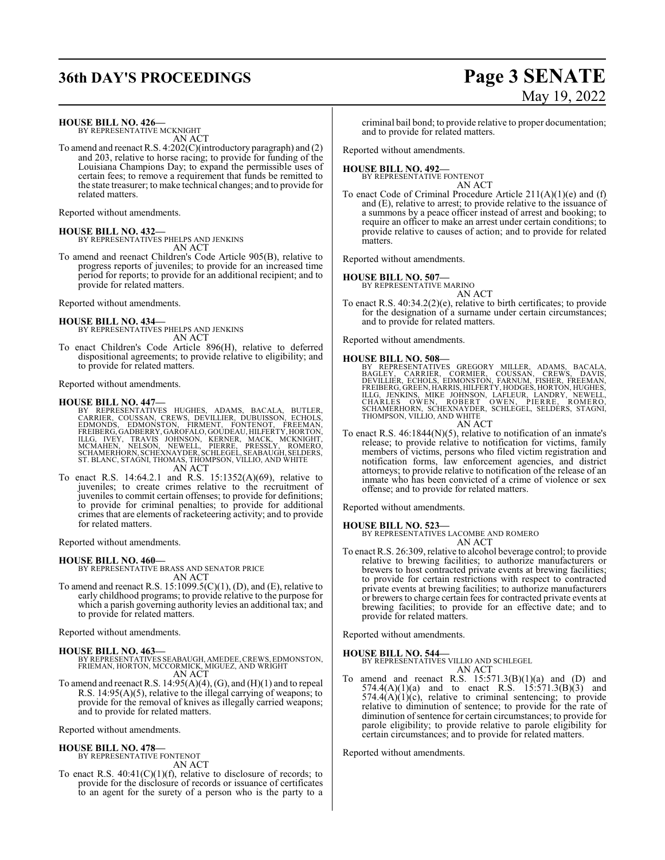# **36th DAY'S PROCEEDINGS Page 3 SENATE**

# May 19, 2022

**HOUSE BILL NO. 426—**

BY REPRESENTATIVE MCKNIGHT AN ACT

To amend and reenact R.S. 4:202(C)(introductory paragraph) and (2) and 203, relative to horse racing; to provide for funding of the Louisiana Champions Day; to expand the permissible uses of certain fees; to remove a requirement that funds be remitted to the state treasurer; to make technical changes; and to provide for related matters.

Reported without amendments.

**HOUSE BILL NO. 432—** BY REPRESENTATIVES PHELPS AND JENKINS AN ACT

To amend and reenact Children's Code Article 905(B), relative to progress reports of juveniles; to provide for an increased time period for reports; to provide for an additional recipient; and to provide for related matters.

Reported without amendments.

**HOUSE BILL NO. 434—** BY REPRESENTATIVES PHELPS AND JENKINS

AN ACT

To enact Children's Code Article 896(H), relative to deferred dispositional agreements; to provide relative to eligibility; and to provide for related matters.

Reported without amendments.

#### **HOUSE BILL NO. 447—**

BY REPRESENTATIVES HUGHES, ADAMS, BACALA, BUTLER, CARRIER, COUSSAN, CREWS, DEVILLIER, DUBUISSON, ECHOLS, EDMONDS, EDMONSTON, FIRMENT, FONTENOT, FREEMAN, ILLG. IVEY, TRANSFREER (SABBERRY, GAROFFAL, ILLG. IVEY, TRAVIS JOHNSO

To enact R.S. 14:64.2.1 and R.S. 15:1352(A)(69), relative to juveniles; to create crimes relative to the recruitment of juveniles to commit certain offenses; to provide for definitions; to provide for criminal penalties; to provide for additional crimes that are elements of racketeering activity; and to provide for related matters.

Reported without amendments.

#### **HOUSE BILL NO. 460—**

BY REPRESENTATIVE BRASS AND SENATOR PRICE AN ACT

To amend and reenact R.S.  $15:1099.5(C)(1)$ , (D), and (E), relative to early childhood programs; to provide relative to the purpose for which a parish governing authority levies an additional tax; and to provide for related matters.

Reported without amendments.

#### **HOUSE BILL NO. 463—**

- BY REPRESENTATIVES SEABAUGH, AMEDEE,CREWS, EDMONSTON, FRIEMAN, HORTON, MCCORMICK, MIGUEZ, AND WRIGHT AN ACT
- To amend and reenact R.S. 14:95(A)(4), (G), and (H)(1) and to repeal R.S. 14:95(A)(5), relative to the illegal carrying of weapons; to provide for the removal of knives as illegally carried weapons; and to provide for related matters.

Reported without amendments.

#### **HOUSE BILL NO. 478—**

BY REPRESENTATIVE FONTENOT AN ACT

To enact R.S. 40:41(C)(1)(f), relative to disclosure of records; to provide for the disclosure of records or issuance of certificates to an agent for the surety of a person who is the party to a

criminal bail bond; to provide relative to proper documentation; and to provide for related matters.

Reported without amendments.

#### **HOUSE BILL NO. 492—** BY REPRESENTATIVE FONTENOT

AN ACT

To enact Code of Criminal Procedure Article 211(A)(1)(e) and (f) and (E), relative to arrest; to provide relative to the issuance of a summons by a peace officer instead of arrest and booking; to require an officer to make an arrest under certain conditions; to provide relative to causes of action; and to provide for related matters.

Reported without amendments.

#### **HOUSE BILL NO. 507—**

BY REPRESENTATIVE MARINO AN ACT

To enact R.S. 40:34.2(2)(e), relative to birth certificates; to provide for the designation of a surname under certain circumstances; and to provide for related matters.

Reported without amendments.

#### **HOUSE BILL NO. 508—**

BY REPRESENTATIVES GREGORY MILLER, ADAMS, BACALA,<br>BAGLEY, CARRIER, CORMIER, COUSSAN, CREWS, DAVIS,<br>DEVILLIER, ECHOLS, EDMONSTON, FARNUM, FISHER, FREEMAN,<br>FREIBERG,GREEN,HARRIS,HILFERTY,HODGES,HORTON,HUGHES,<br>ILLG, JENKINS, AN ACT

To enact R.S. 46:1844(N)(5), relative to notification of an inmate's release; to provide relative to notification for victims, family members of victims, persons who filed victim registration and notification forms, law enforcement agencies, and district attorneys; to provide relative to notification of the release of an inmate who has been convicted of a crime of violence or sex offense; and to provide for related matters.

Reported without amendments.

#### **HOUSE BILL NO. 523—**

BY REPRESENTATIVES LACOMBE AND ROMERO AN ACT

To enact R.S. 26:309, relative to alcohol beverage control; to provide relative to brewing facilities; to authorize manufacturers or brewers to host contracted private events at brewing facilities; to provide for certain restrictions with respect to contracted private events at brewing facilities; to authorize manufacturers or brewers to charge certain fees for contracted private events at brewing facilities; to provide for an effective date; and to provide for related matters.

Reported without amendments.

#### **HOUSE BILL NO. 544—**

- BY REPRESENTATIVES VILLIO AND SCHLEGEL AN ACT
- To amend and reenact R.S.  $15:571.3(B)(1)(a)$  and  $(D)$  and  $574.4(A)(1)(a)$  and to enact R.S.  $15:571.3(B)(3)$  and  $574.4(A)(1)(c)$ , relative to criminal sentencing; to provide relative to diminution of sentence; to provide for the rate of diminution of sentence for certain circumstances; to provide for parole eligibility; to provide relative to parole eligibility for certain circumstances; and to provide for related matters.

Reported without amendments.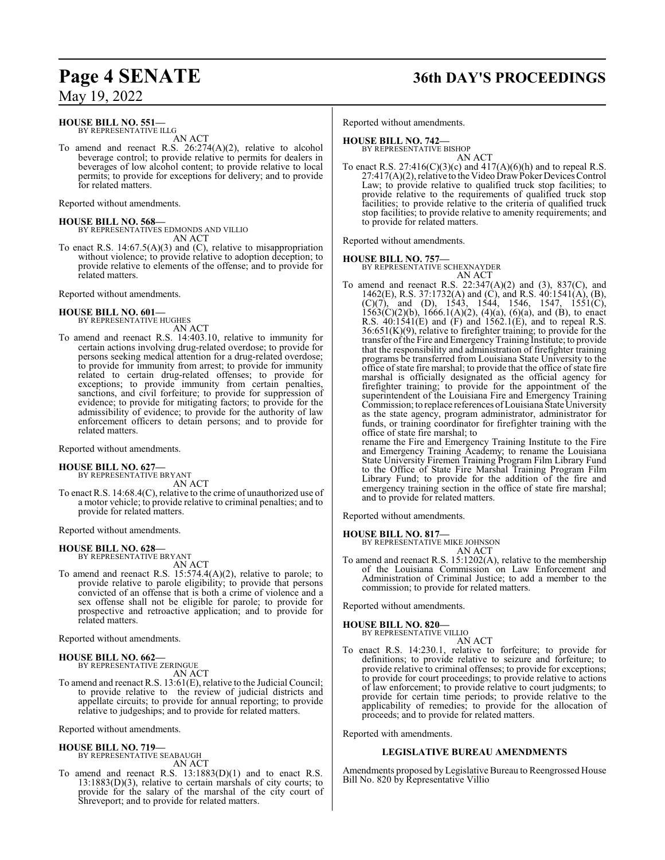#### **HOUSE BILL NO. 551—** BY REPRESENTATIVE ILLG

AN ACT

To amend and reenact R.S. 26:274(A)(2), relative to alcohol beverage control; to provide relative to permits for dealers in beverages of low alcohol content; to provide relative to local permits; to provide for exceptions for delivery; and to provide for related matters.

Reported without amendments.

**HOUSE BILL NO. 568—** BY REPRESENTATIVES EDMONDS AND VILLIO AN ACT

To enact R.S. 14:67.5(A)(3) and (C), relative to misappropriation without violence; to provide relative to adoption deception; to provide relative to elements of the offense; and to provide for related matters.

Reported without amendments.

#### **HOUSE BILL NO. 601—** BY REPRESENTATIVE HUGHES

AN ACT

To amend and reenact R.S. 14:403.10, relative to immunity for certain actions involving drug-related overdose; to provide for persons seeking medical attention for a drug-related overdose; to provide for immunity from arrest; to provide for immunity related to certain drug-related offenses; to provide for exceptions; to provide immunity from certain penalties, sanctions, and civil forfeiture; to provide for suppression of evidence; to provide for mitigating factors; to provide for the admissibility of evidence; to provide for the authority of law enforcement officers to detain persons; and to provide for related matters.

Reported without amendments.

#### **HOUSE BILL NO. 627—**

BY REPRESENTATIVE BRYANT AN ACT

To enact R.S. 14:68.4(C), relative to the crime of unauthorized use of a motor vehicle; to provide relative to criminal penalties; and to provide for related matters.

Reported without amendments.

#### **HOUSE BILL NO. 628—**

BY REPRESENTATIVE BRYANT AN ACT

To amend and reenact R.S. 15:574.4(A)(2), relative to parole; to provide relative to parole eligibility; to provide that persons convicted of an offense that is both a crime of violence and a sex offense shall not be eligible for parole; to provide for prospective and retroactive application; and to provide for related matters.

Reported without amendments.

## **HOUSE BILL NO. 662—** BY REPRESENTATIVE ZERINGUE

AN ACT

To amend and reenact R.S. 13:61(E), relative to the Judicial Council; to provide relative to the review of judicial districts and appellate circuits; to provide for annual reporting; to provide relative to judgeships; and to provide for related matters.

Reported without amendments.

#### **HOUSE BILL NO. 719—** BY REPRESENTATIVE SEABAUGH

AN ACT

To amend and reenact R.S. 13:1883(D)(1) and to enact R.S. 13:1883(D)(3), relative to certain marshals of city courts; to provide for the salary of the marshal of the city court of Shreveport; and to provide for related matters.

## **Page 4 SENATE 36th DAY'S PROCEEDINGS**

Reported without amendments.

#### **HOUSE BILL NO. 742—**

BY REPRESENTATIVE BISHOP

AN ACT To enact R.S. 27:416(C)(3)(c) and  $417(A)(6)(h)$  and to repeal R.S. 27:417(A)(2), relative to the Video Draw Poker Devices Control Law; to provide relative to qualified truck stop facilities; to provide relative to the requirements of qualified truck stop facilities; to provide relative to the criteria of qualified truck stop facilities; to provide relative to amenity requirements; and to provide for related matters.

Reported without amendments.

**HOUSE BILL NO. 757—** BY REPRESENTATIVE SCHEXNAYDER

AN ACT To amend and reenact R.S. 22:347(A)(2) and (3), 837(C), and 1462(E), R.S. 37:1732(A) and (C), and R.S. 40:1541(A), (B),  $(C)(7)$ , and  $(D)$ , 1543, 1544, 1546, 1547, 1551 $(C)$ ,  $1563(C)(2)(b)$ ,  $1666.1(A)(2)$ ,  $(4)(a)$ ,  $(6)(a)$ , and  $(B)$ , to enact R.S. 40:1541(E) and (F) and 1562.1(E), and to repeal R.S. 36:651(K)(9), relative to firefighter training; to provide for the transfer ofthe Fire and EmergencyTraining Institute; to provide that the responsibility and administration of firefighter training programs be transferred from Louisiana State University to the office of state fire marshal; to provide that the office of state fire marshal is officially designated as the official agency for firefighter training; to provide for the appointment of the superintendent of the Louisiana Fire and Emergency Training Commission; to replace references of Louisiana State University as the state agency, program administrator, administrator for funds, or training coordinator for firefighter training with the office of state fire marshal; to rename the Fire and Emergency Training Institute to the Fire

and Emergency Training Academy; to rename the Louisiana State University Firemen Training Program Film Library Fund to the Office of State Fire Marshal Training Program Film Library Fund; to provide for the addition of the fire and emergency training section in the office of state fire marshal; and to provide for related matters.

Reported without amendments.

**HOUSE BILL NO. 817—** BY REPRESENTATIVE MIKE JOHNSON AN ACT

To amend and reenact R.S. 15:1202(A), relative to the membership of the Louisiana Commission on Law Enforcement and Administration of Criminal Justice; to add a member to the commission; to provide for related matters.

Reported without amendments.

#### **HOUSE BILL NO. 820—**

BY REPRESENTATIVE VILLIO AN ACT

To enact R.S. 14:230.1, relative to forfeiture; to provide for definitions; to provide relative to seizure and forfeiture; to provide relative to criminal offenses; to provide for exceptions; to provide for court proceedings; to provide relative to actions of law enforcement; to provide relative to court judgments; to provide for certain time periods; to provide relative to the applicability of remedies; to provide for the allocation of proceeds; and to provide for related matters.

Reported with amendments.

#### **LEGISLATIVE BUREAU AMENDMENTS**

Amendments proposed by Legislative Bureau to Reengrossed House Bill No. 820 by Representative Villio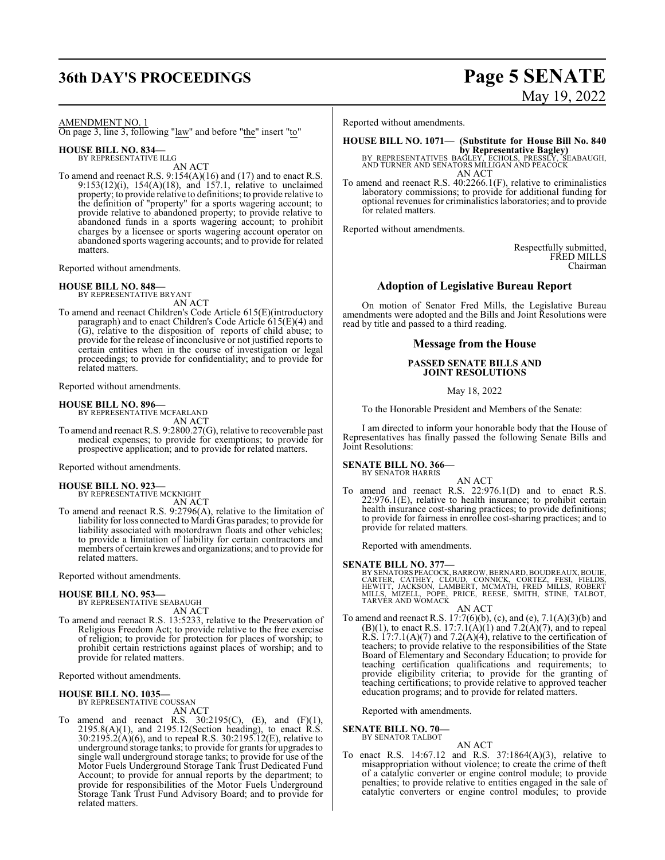# **36th DAY'S PROCEEDINGS Page 5 SENATE**

# May 19, 2022

AMENDMENT NO. 1

On page 3, line 3, following "law" and before "the" insert "to"

**HOUSE BILL NO. 834—** BY REPRESENTATIVE ILLG

AN ACT

To amend and reenact R.S. 9:154(A)(16) and (17) and to enact R.S. 9:153(12)(i), 154(A)(18), and 157.1, relative to unclaimed property; to provide relative to definitions; to provide relative to the definition of "property" for a sports wagering account; to provide relative to abandoned property; to provide relative to abandoned funds in a sports wagering account; to prohibit charges by a licensee or sports wagering account operator on abandoned sports wagering accounts; and to provide for related matters.

Reported without amendments.

#### **HOUSE BILL NO. 848—**

BY REPRESENTATIVE BRYANT AN ACT

To amend and reenact Children's Code Article 615(E)(introductory paragraph) and to enact Children's Code Article 615(E)(4) and (G), relative to the disposition of reports of child abuse; to provide for the release of inconclusive or not justified reports to certain entities when in the course of investigation or legal proceedings; to provide for confidentiality; and to provide for related matters.

Reported without amendments.

#### **HOUSE BILL NO. 896—**

BY REPRESENTATIVE MCFARLAND AN ACT

To amend and reenact R.S. 9:2800.27(G), relative to recoverable past medical expenses; to provide for exemptions; to provide for prospective application; and to provide for related matters.

Reported without amendments.

#### **HOUSE BILL NO. 923—**

BY REPRESENTATIVE MCKNIGHT

AN ACT

To amend and reenact R.S. 9:2796(A), relative to the limitation of liability for loss connected to Mardi Gras parades; to provide for liability associated with motordrawn floats and other vehicles; to provide a limitation of liability for certain contractors and members of certain krewes and organizations; and to provide for related matters.

Reported without amendments.

#### **HOUSE BILL NO. 953—**

BY REPRESENTATIVE SEABAUGH AN ACT

To amend and reenact R.S. 13:5233, relative to the Preservation of Religious Freedom Act; to provide relative to the free exercise of religion; to provide for protection for places of worship; to prohibit certain restrictions against places of worship; and to provide for related matters.

Reported without amendments.

#### **HOUSE BILL NO. 1035—**

BY REPRESENTATIVE COUSSAN AN ACT

To amend and reenact R.S.  $30:2195(C)$ , (E), and (F)(1), 2195.8(A)(1), and 2195.12(Section heading), to enact R.S. 30:2195.2(A)(6), and to repeal R.S. 30:2195.12(E), relative to underground storage tanks; to provide for grants for upgrades to single wall underground storage tanks; to provide for use of the Motor Fuels Underground Storage Tank Trust Dedicated Fund Account; to provide for annual reports by the department; to provide for responsibilities of the Motor Fuels Underground Storage Tank Trust Fund Advisory Board; and to provide for related matters.

Reported without amendments.

- **HOUSE BILL NO. 1071— (Substitute for House Bill No. 840**
	- **by Representative Bagley)**<br>BY REPRESENTATIVES BAGLEY, ECHOLS, PRESSLY, SEABAUGH,<br>AND TURNER AND SENATORS MILLIGAN AND PEACOCK AN ACT
- To amend and reenact R.S. 40:2266.1(F), relative to criminalistics laboratory commissions; to provide for additional funding for optional revenues for criminalistics laboratories; and to provide for related matters.

Reported without amendments.

Respectfully submitted, FRED MILLS Chairman

#### **Adoption of Legislative Bureau Report**

On motion of Senator Fred Mills, the Legislative Bureau amendments were adopted and the Bills and Joint Resolutions were read by title and passed to a third reading.

#### **Message from the House**

#### **PASSED SENATE BILLS AND JOINT RESOLUTIONS**

#### May 18, 2022

To the Honorable President and Members of the Senate:

I am directed to inform your honorable body that the House of Representatives has finally passed the following Senate Bills and Joint Resolutions:

## **SENATE BILL NO. 366—** BY SENATOR HARRIS

AN ACT To amend and reenact R.S. 22:976.1(D) and to enact R.S. 22:976.1(E), relative to health insurance; to prohibit certain health insurance cost-sharing practices; to provide definitions; to provide for fairness in enrollee cost-sharing practices; and to provide for related matters.

Reported with amendments.

#### **SENATE BILL NO. 377—**

BY SENATORS PEACOCK, BARROW, BERNARD, BOUDREAUX, BOUIE,<br>CARTER, CATHEY, CLOUD, CONNICK, CORTEZ, FESI, FIELDS,<br>HEWITT, JACKSON, LAMBERT, MCMATH, FRED MILLS, ROBERT<br>MILLS, MIZELL, PÒPE, PRICE, TARVER AND WOMACK

AN ACT

To amend and reenact R.S. 17:7(6)(b), (c), and (e), 7.1(A)(3)(b) and  $(B)(1)$ , to enact R.S. 17:7.1(A)(1) and 7.2(A)(7), and to repeal R.S.  $17:7.1(A)(7)$  and  $7.2(A)(4)$ , relative to the certification of teachers; to provide relative to the responsibilities of the State Board of Elementary and Secondary Education; to provide for teaching certification qualifications and requirements; to provide eligibility criteria; to provide for the granting of teaching certifications; to provide relative to approved teacher education programs; and to provide for related matters.

Reported with amendments.

## **SENATE BILL NO. 70—**<br>BY SENATOR TALBOT

AN ACT To enact R.S. 14:67.12 and R.S. 37:1864(A)(3), relative to misappropriation without violence; to create the crime of theft of a catalytic converter or engine control module; to provide penalties; to provide relative to entities engaged in the sale of catalytic converters or engine control modules; to provide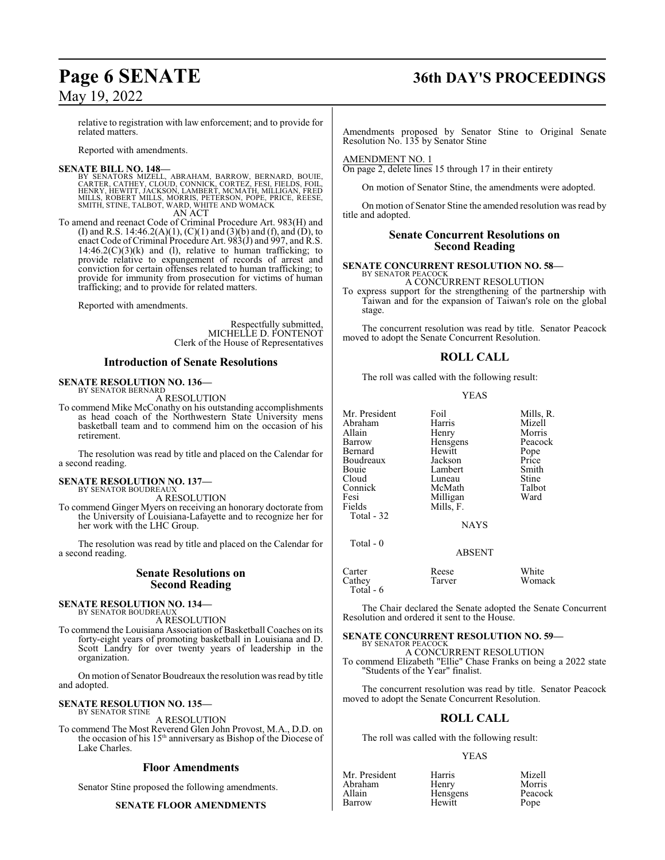# **Page 6 SENATE 36th DAY'S PROCEEDINGS**

relative to registration with law enforcement; and to provide for related matters.

Reported with amendments.

**SENATE BILL NO. 148—**<br>BY SENATORS MIZELL, ABRAHAM, BARROW, BERNARD, BOUIE,<br>CARTER, CATHEY, CLOUD, CONNICK, CORTEZ, FESI, FIELDS, FOIL,<br>HENRY, HEWITT, JACKSON, LAMBERT, MCMATH, MILLIGAN, FRED<br>MILLS, ROBERT MILLS, MORRIS, P AN ACT

To amend and reenact Code of Criminal Procedure Art. 983(H) and (I) and R.S. 14:46.2(A)(1), (C)(1) and (3)(b) and (f), and (D), to enact Code of Criminal Procedure Art. 983(J) and 997, and R.S.  $14:46.2(C)(3)(k)$  and (l), relative to human trafficking; to provide relative to expungement of records of arrest and conviction for certain offenses related to human trafficking; to provide for immunity from prosecution for victims of human trafficking; and to provide for related matters.

Reported with amendments.

Respectfully submitted, MICHELLE D. FONTENOT Clerk of the House of Representatives

#### **Introduction of Senate Resolutions**

#### **SENATE RESOLUTION NO. 136—** BY SENATOR BERNARD

A RESOLUTION

To commend Mike McConathy on his outstanding accomplishments as head coach of the Northwestern State University mens basketball team and to commend him on the occasion of his retirement.

The resolution was read by title and placed on the Calendar for a second reading.

#### **SENATE RESOLUTION NO. 137—** BY SENATOR BOUDREAUX

A RESOLUTION

To commend Ginger Myers on receiving an honorary doctorate from the University of Louisiana-Lafayette and to recognize her for her work with the LHC Group.

The resolution was read by title and placed on the Calendar for a second reading.

#### **Senate Resolutions on Second Reading**

#### **SENATE RESOLUTION NO. 134—** BY SENATOR BOUDREAUX

A RESOLUTION

To commend the Louisiana Association of Basketball Coaches on its forty-eight years of promoting basketball in Louisiana and D. Scott Landry for over twenty years of leadership in the organization.

On motion of Senator Boudreaux the resolution was read by title and adopted.

#### **SENATE RESOLUTION NO. 135—** BY SENATOR STINE

A RESOLUTION

To commend The Most Reverend Glen John Provost, M.A., D.D. on the occasion of his 15<sup>th</sup> anniversary as Bishop of the Diocese of Lake Charles.

### **Floor Amendments**

Senator Stine proposed the following amendments.

#### **SENATE FLOOR AMENDMENTS**

Amendments proposed by Senator Stine to Original Senate Resolution No. 135 by Senator Stine

AMENDMENT NO. 1

On page 2, delete lines 15 through 17 in their entirety

On motion of Senator Stine, the amendments were adopted.

On motion of Senator Stine the amended resolution was read by title and adopted.

#### **Senate Concurrent Resolutions on Second Reading**

#### **SENATE CONCURRENT RESOLUTION NO. 58—** BY SENATOR PEACOCK

A CONCURRENT RESOLUTION

To express support for the strengthening of the partnership with Taiwan and for the expansion of Taiwan's role on the global stage.

The concurrent resolution was read by title. Senator Peacock moved to adopt the Senate Concurrent Resolution.

## **ROLL CALL**

The roll was called with the following result:

#### YEAS

| Mr. President  |
|----------------|
| Abraham        |
| Allain         |
| Barrow         |
| <b>Bernard</b> |
| Boudreaux      |
| <b>Bouie</b>   |
| Cloud          |
| Connick        |
| Fesi           |
| Fields         |
| Total - 32     |

Foil Mills, R.<br>Harris Mizell Harris Mizell<br>
Henry Morris Henry Morris<br>
Hensgens Peacock Hensgens Peacock<br>Hewitt Pope Hewitt Pope<br>Jackson Price Jackson Price<br>
Lambert Smith Lambert Smith<br>
Luneau Stine Luneau Stine<br>
McMath Talbot McMath Talbo<br>
Milligan Ward

NAYS

ABSENT

Total - 0

| Carter     | Reese  | White  |
|------------|--------|--------|
| Cathey     | Tarver | Womack |
| Total $-6$ |        |        |

Milligan Mills, F.

The Chair declared the Senate adopted the Senate Concurrent Resolution and ordered it sent to the House.

## **SENATE CONCURRENT RESOLUTION NO. 59—**

BY SENATOR PEACOCK A CONCURRENT RESOLUTION

To commend Elizabeth "Ellie" Chase Franks on being a 2022 state "Students of the Year" finalist.

The concurrent resolution was read by title. Senator Peacock moved to adopt the Senate Concurrent Resolution.

### **ROLL CALL**

The roll was called with the following result:

#### YEAS

| Mr. President | Harris   | Mizell |
|---------------|----------|--------|
| Abraham       | Henry    | Morris |
| Allain        | Hensgens | Peacoo |
| Barrow        | Hewitt   | Pope   |

Henry Morris<br>
Hensgens Peacock Hensgens Peacock<br>
Henritt Pope **Hewitt**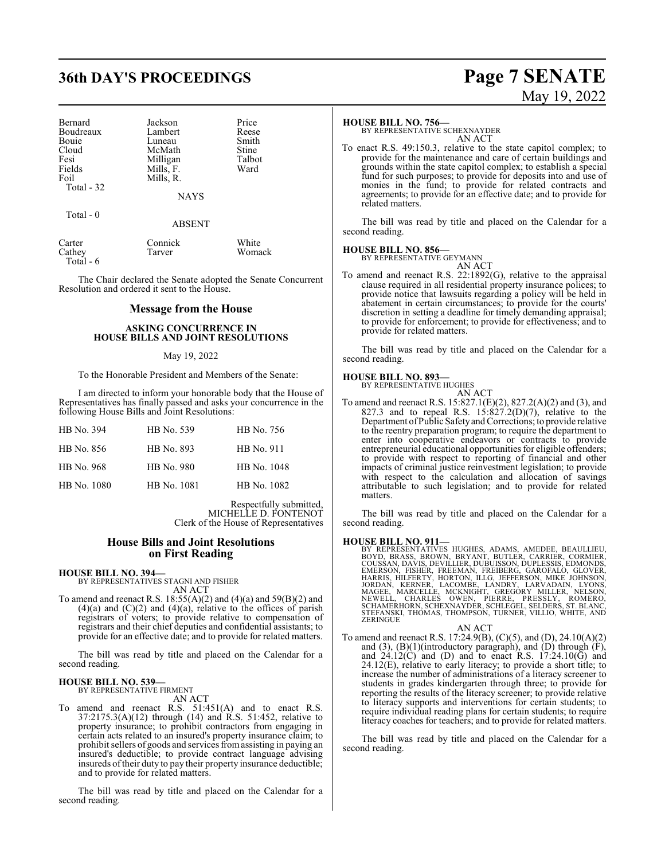# **36th DAY'S PROCEEDINGS Page 7 SENATE**

| Bernard    | Jackson     | Price  |
|------------|-------------|--------|
| Boudreaux  | Lambert     | Reese  |
| Bouie      | Luneau      | Smith  |
| Cloud      | McMath      | Stine  |
| Fesi       | Milligan    | Talbot |
| Fields     | Mills, F.   | Ward   |
| Foil       | Mills, R.   |        |
| Total - 32 |             |        |
|            | <b>NAYS</b> |        |

Total - 0

#### ABSENT

| Carter     | Connick | White  |
|------------|---------|--------|
| Cathey     | Tarver  | Womack |
| Total $-6$ |         |        |

The Chair declared the Senate adopted the Senate Concurrent Resolution and ordered it sent to the House.

#### **Message from the House**

#### **ASKING CONCURRENCE IN HOUSE BILLS AND JOINT RESOLUTIONS**

#### May 19, 2022

To the Honorable President and Members of the Senate:

I am directed to inform your honorable body that the House of Representatives has finally passed and asks your concurrence in the following House Bills and Joint Resolutions:

| HB No. 394  | HB No. 539  | HB No. 756  |
|-------------|-------------|-------------|
| HB No. 856  | HB No. 893  | HB No. 911  |
| HB No. 968  | HB No. 980  | HB No. 1048 |
| HB No. 1080 | HB No. 1081 | HB No. 1082 |

Respectfully submitted, MICHELLE D. FONTENOT Clerk of the House of Representatives

#### **House Bills and Joint Resolutions on First Reading**

**HOUSE BILL NO. 394—**

BY REPRESENTATIVES STAGNI AND FISHER AN ACT

To amend and reenact R.S. 18:55(A)(2) and (4)(a) and 59(B)(2) and  $(4)(a)$  and  $(C)(2)$  and  $(4)(a)$ , relative to the offices of parish registrars of voters; to provide relative to compensation of registrars and their chief deputies and confidential assistants; to provide for an effective date; and to provide for related matters.

The bill was read by title and placed on the Calendar for a second reading.

#### **HOUSE BILL NO. 539—** BY REPRESENTATIVE FIRMENT

AN ACT

To amend and reenact R.S. 51:451(A) and to enact R.S. 37:2175.3(A)(12) through (14) and R.S. 51:452, relative to property insurance; to prohibit contractors from engaging in certain acts related to an insured's property insurance claim; to prohibit sellers of goods and services fromassisting in paying an insured's deductible; to provide contract language advising insureds oftheir duty to pay their property insurance deductible; and to provide for related matters.

The bill was read by title and placed on the Calendar for a second reading.

#### **HOUSE BILL NO. 756—**

BY REPRESENTATIVE SCHEXNAYDER AN ACT

To enact R.S. 49:150.3, relative to the state capitol complex; to provide for the maintenance and care of certain buildings and grounds within the state capitol complex; to establish a special fund for such purposes; to provide for deposits into and use of monies in the fund; to provide for related contracts and agreements; to provide for an effective date; and to provide for related matters.

The bill was read by title and placed on the Calendar for a second reading.

#### **HOUSE BILL NO. 856—**

BY REPRESENTATIVE GEYMANN

AN ACT To amend and reenact R.S. 22:1892(G), relative to the appraisal clause required in all residential property insurance polices; to provide notice that lawsuits regarding a policy will be held in abatement in certain circumstances; to provide for the courts' discretion in setting a deadline for timely demanding appraisal; to provide for enforcement; to provide for effectiveness; and to provide for related matters.

The bill was read by title and placed on the Calendar for a second reading.

#### **HOUSE BILL NO. 893—**

BY REPRESENTATIVE HUGHES AN ACT

To amend and reenact R.S. 15:827.1(E)(2), 827.2(A)(2) and (3), and 827.3 and to repeal R.S.  $1\overline{5}:\overline{8}2\overline{7}$ .  $2(D)(7)$ , relative to the Department of Public Safety and Corrections; to provide relative to the reentry preparation program; to require the department to enter into cooperative endeavors or contracts to provide entrepreneurial educational opportunities for eligible offenders; to provide with respect to reporting of financial and other impacts of criminal justice reinvestment legislation; to provide with respect to the calculation and allocation of savings attributable to such legislation; and to provide for related matters.

The bill was read by title and placed on the Calendar for a second reading.

HOUSE BILL NO. 911—<br>BY REPRESENTATIVES HUGHES, ADAMS, AMEDEE, BEAULLIEU,<br>BOYD, BRASS, BROWN, BRYANT, BUTLER, CARRIER, CORMIER,<br>COUSSAN, DAVIS, DEVILLIER, DUBUISSON, DUPLESSIS, EDMONDS,<br>EMERSON, HISHER, FREEMAN, FREIBERG, G

#### AN ACT

To amend and reenact R.S. 17:24.9(B), (C)(5), and (D), 24.10(A)(2) and (3), (B)(1)(introductory paragraph), and (D) through (F), and  $24.12(C)$  and (D) and to enact R.S.  $17:24.10(\bar{G})$  and 24.12(E), relative to early literacy; to provide a short title; to increase the number of administrations of a literacy screener to students in grades kindergarten through three; to provide for reporting the results of the literacy screener; to provide relative to literacy supports and interventions for certain students; to require individual reading plans for certain students; to require literacy coaches for teachers; and to provide for related matters.

The bill was read by title and placed on the Calendar for a second reading.

# May 19, 2022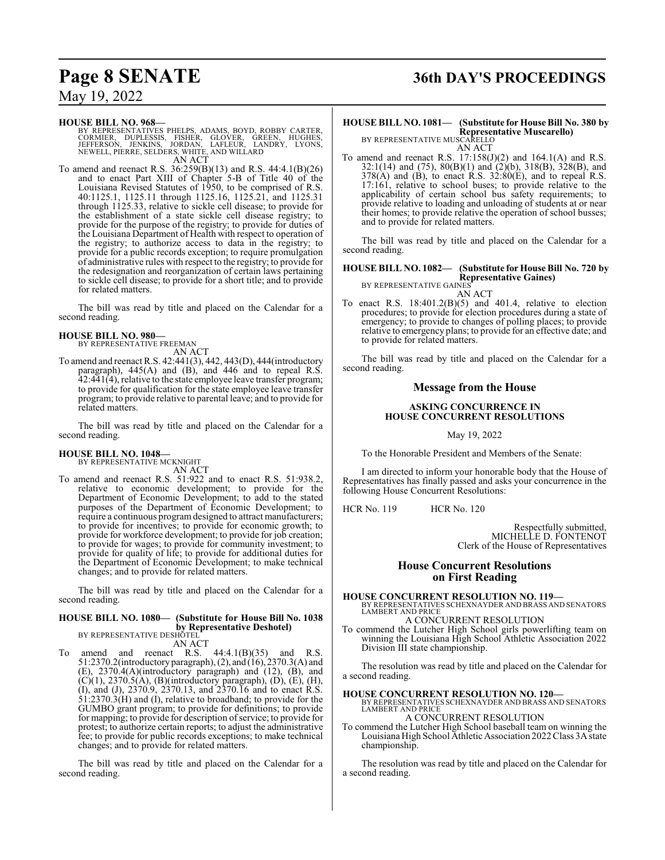#### **HOUSE BILL NO. 968—**

BY REPRESENTATIVES PHELPS, ADAMS, BOYD, ROBBY CARTER,<br>CORMIER, DUPLESSIS, FISHER, GLOVER, GREEN, HUGHES,<br>JEFFERSON, JENKINS, JORDAN, LAFLEUR, LADDRY, LYONS,<br>NEWELL,PIERRE,SELDERS,WHITE,AND WILLARD AN ACT

To amend and reenact R.S. 36:259(B)(13) and R.S. 44:4.1(B)(26) and to enact Part XIII of Chapter 5-B of Title 40 of the Louisiana Revised Statutes of 1950, to be comprised of R.S. 40:1125.1, 1125.11 through 1125.16, 1125.21, and 1125.31 through 1125.33, relative to sickle cell disease; to provide for the establishment of a state sickle cell disease registry; to provide for the purpose of the registry; to provide for duties of the Louisiana Department of Health with respect to operation of the registry; to authorize access to data in the registry; to provide for a public records exception; to require promulgation of administrative rules with respect to the registry; to provide for the redesignation and reorganization of certain laws pertaining to sickle cell disease; to provide for a short title; and to provide for related matters.

The bill was read by title and placed on the Calendar for a second reading.

#### **HOUSE BILL NO. 980—** BY REPRESENTATIVE FREEMAN

AN ACT

To amend and reenact R.S. 42:441(3), 442, 443(D), 444(introductory paragraph), 445(A) and (B), and 446 and to repeal R.S. 42:441(4), relative to the state employee leave transfer program; to provide for qualification for the state employee leave transfer program; to provide relative to parental leave; and to provide for related matters.

The bill was read by title and placed on the Calendar for a second reading.

## **HOUSE BILL NO. 1048—** BY REPRESENTATIVE MCKNIGHT

AN ACT To amend and reenact R.S. 51:922 and to enact R.S. 51:938.2, relative to economic development; to provide for the Department of Economic Development; to add to the stated purposes of the Department of Economic Development; to require a continuous programdesigned to attract manufacturers; to provide for incentives; to provide for economic growth; to provide for workforce development; to provide for job creation; to provide for wages; to provide for community investment; to provide for quality of life; to provide for additional duties for the Department of Economic Development; to make technical changes; and to provide for related matters.

The bill was read by title and placed on the Calendar for a second reading.

#### **HOUSE BILL NO. 1080— (Substitute for House Bill No. 1038 by Representative Deshotel)**

```
BY REPRESENTATIVE DESHOTEL
                    AN ACT
```
To amend and reenact R.S.  $44:4.1(B)(35)$  and R.S. 51:2370.2(introductory paragraph), (2), and (16), 2370.3(A) and (E), 2370.4(A)(introductory paragraph) and (12), (B), and  $(C)(1)$ , 2370.5(A), (B)(introductory paragraph), (D), (E), (H), (I), and (J), 2370.9, 2370.13, and 2370.16 and to enact R.S.  $51:2370.3(H)$  and (I), relative to broadband; to provide for the GUMBO grant program; to provide for definitions; to provide for mapping; to provide for description ofservice; to provide for protest; to authorize certain reports; to adjust the administrative fee; to provide for public records exceptions; to make technical changes; and to provide for related matters.

The bill was read by title and placed on the Calendar for a second reading.

# **Page 8 SENATE 36th DAY'S PROCEEDINGS**

## **HOUSE BILL NO. 1081— (Substitute for House Bill No. 380 by Representative Muscarello)** BY REPRESENTATIVE MUSCARELLO

AN ACT

To amend and reenact R.S.  $17:158(J)(2)$  and  $164.1(A)$  and R.S. 32:1(14) and (75), 80(B)(1) and (2)(b), 318(B), 328(B), and  $378(A)$  and (B), to enact R.S.  $32:80(E)$ , and to repeal R.S. 17:161, relative to school buses; to provide relative to the applicability of certain school bus safety requirements; to provide relative to loading and unloading of students at or near their homes; to provide relative the operation of school busses; and to provide for related matters.

The bill was read by title and placed on the Calendar for a second reading.

#### **HOUSE BILL NO. 1082— (Substitute for House Bill No. 720 by Representative Gaines)**

BY REPRESENTATIVE GAINES AN ACT

To enact R.S. 18:401.2(B)(5) and 401.4, relative to election procedures; to provide for election procedures during a state of emergency; to provide to changes of polling places; to provide relative to emergency plans; to provide for an effective date; and to provide for related matters.

The bill was read by title and placed on the Calendar for a second reading.

#### **Message from the House**

#### **ASKING CONCURRENCE IN HOUSE CONCURRENT RESOLUTIONS**

May 19, 2022

To the Honorable President and Members of the Senate:

I am directed to inform your honorable body that the House of Representatives has finally passed and asks your concurrence in the following House Concurrent Resolutions:

HCR No. 119 HCR No. 120

Respectfully submitted, MICHELLE D. FONTENOT Clerk of the House of Representatives

### **House Concurrent Resolutions on First Reading**

**HOUSE CONCURRENT RESOLUTION NO. 119—** BY REPRESENTATIVES SCHEXNAYDER AND BRASS AND SENATORS

LAMBERT AND PRICE A CONCURRENT RESOLUTION

To commend the Lutcher High School girls powerlifting team on winning the Louisiana High School Athletic Association 2022 Division III state championship.

The resolution was read by title and placed on the Calendar for a second reading.

#### **HOUSE CONCURRENT RESOLUTION NO. 120—**

BY REPRESENTATIVES SCHEXNAYDER AND BRASS AND SENATORS LAMBERT AND PRICE

A CONCURRENT RESOLUTION

To commend the Lutcher High School baseball team on winning the Louisiana High School Athletic Association 2022 Class 3A state championship.

The resolution was read by title and placed on the Calendar for a second reading.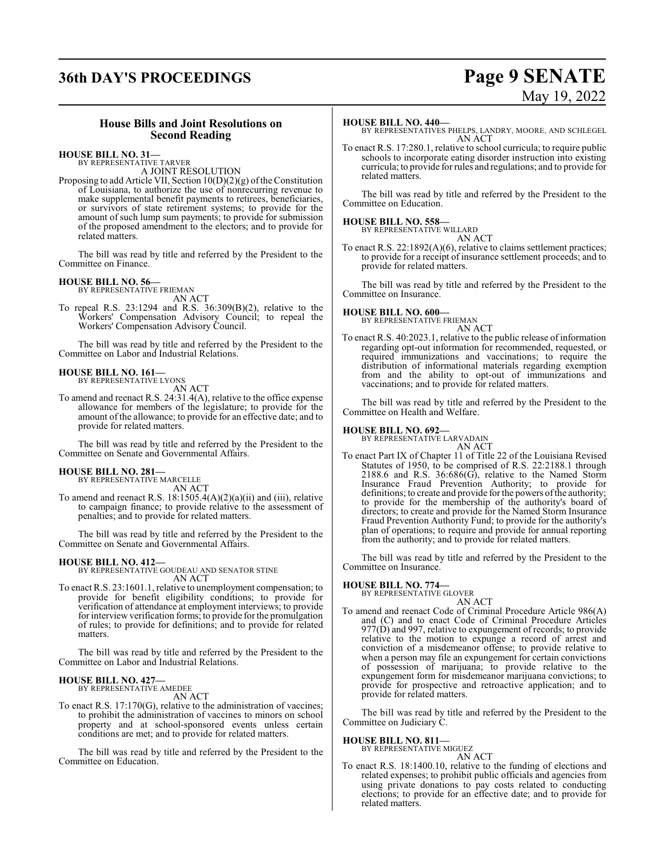# **36th DAY'S PROCEEDINGS Page 9 SENATE**

# May 19, 2022

### **House Bills and Joint Resolutions on Second Reading**

#### **HOUSE BILL NO. 31—** BY REPRESENTATIVE TARVER

A JOINT RESOLUTION

Proposing to add Article VII, Section  $10(D)(2)(g)$  of the Constitution of Louisiana, to authorize the use of nonrecurring revenue to make supplemental benefit payments to retirees, beneficiaries, or survivors of state retirement systems; to provide for the amount of such lump sum payments; to provide for submission of the proposed amendment to the electors; and to provide for related matters.

The bill was read by title and referred by the President to the Committee on Finance.

#### **HOUSE BILL NO. 56—**

BY REPRESENTATIVE FRIEMAN AN ACT

To repeal R.S. 23:1294 and R.S. 36:309(B)(2), relative to the Workers' Compensation Advisory Council; to repeal the Workers' Compensation Advisory Council.

The bill was read by title and referred by the President to the Committee on Labor and Industrial Relations.

#### **HOUSE BILL NO. 161—** BY REPRESENTATIVE LYONS

AN ACT

To amend and reenact R.S. 24:31.4(A), relative to the office expense allowance for members of the legislature; to provide for the amount of the allowance; to provide for an effective date; and to provide for related matters.

The bill was read by title and referred by the President to the Committee on Senate and Governmental Affairs.

#### **HOUSE BILL NO. 281—**

BY REPRESENTATIVE MARCELLE AN ACT

To amend and reenact R.S. 18:1505.4(A)(2)(a)(ii) and (iii), relative to campaign finance; to provide relative to the assessment of penalties; and to provide for related matters.

The bill was read by title and referred by the President to the Committee on Senate and Governmental Affairs.

#### **HOUSE BILL NO. 412—**

BY REPRESENTATIVE GOUDEAU AND SENATOR STINE AN ACT

To enact R.S. 23:1601.1, relative to unemployment compensation; to provide for benefit eligibility conditions; to provide for verification of attendance at employment interviews; to provide for interview verification forms; to provide for the promulgation of rules; to provide for definitions; and to provide for related matters.

The bill was read by title and referred by the President to the Committee on Labor and Industrial Relations.

#### **HOUSE BILL NO. 427—** BY REPRESENTATIVE AMEDEE

AN ACT

To enact R.S. 17:170(G), relative to the administration of vaccines; to prohibit the administration of vaccines to minors on school property and at school-sponsored events unless certain conditions are met; and to provide for related matters.

The bill was read by title and referred by the President to the Committee on Education.

#### **HOUSE BILL NO. 440—**

BY REPRESENTATIVES PHELPS, LANDRY, MOORE, AND SCHLEGEL AN ACT

To enact R.S. 17:280.1, relative to school curricula; to require public schools to incorporate eating disorder instruction into existing curricula; to provide for rules and regulations; and to provide for related matters.

The bill was read by title and referred by the President to the Committee on Education.

## **HOUSE BILL NO. 558—** BY REPRESENTATIVE WILLARD

AN ACT

To enact R.S. 22:1892(A)(6), relative to claims settlement practices; to provide for a receipt of insurance settlement proceeds; and to provide for related matters.

The bill was read by title and referred by the President to the Committee on Insurance.

#### **HOUSE BILL NO. 600—**

BY REPRESENTATIVE FRIEMAN AN ACT

To enact R.S. 40:2023.1, relative to the public release of information regarding opt-out information for recommended, requested, or required immunizations and vaccinations; to require the distribution of informational materials regarding exemption from and the ability to opt-out of immunizations and vaccinations; and to provide for related matters.

The bill was read by title and referred by the President to the Committee on Health and Welfare.

#### **HOUSE BILL NO. 692—**

BY REPRESENTATIVE LARVADAIN AN ACT

To enact Part IX of Chapter 11 of Title 22 of the Louisiana Revised Statutes of 1950, to be comprised of R.S. 22:2188.1 through 2188.6 and R.S. 36:686(G), relative to the Named Storm Insurance Fraud Prevention Authority; to provide for definitions; to create and provide for the powers of the authority; to provide for the membership of the authority's board of directors; to create and provide for the Named Storm Insurance Fraud Prevention Authority Fund; to provide for the authority's plan of operations; to require and provide for annual reporting from the authority; and to provide for related matters.

The bill was read by title and referred by the President to the Committee on Insurance.

### **HOUSE BILL NO. 774—**

BY REPRESENTATIVE GLOVER AN ACT

To amend and reenact Code of Criminal Procedure Article 986(A) and (C) and to enact Code of Criminal Procedure Articles 977(D) and 997, relative to expungement of records; to provide relative to the motion to expunge a record of arrest and conviction of a misdemeanor offense; to provide relative to when a person may file an expungement for certain convictions of possession of marijuana; to provide relative to the expungement form for misdemeanor marijuana convictions; to provide for prospective and retroactive application; and to provide for related matters.

The bill was read by title and referred by the President to the Committee on Judiciary C.

# **HOUSE BILL NO. 811—** BY REPRESENTATIVE MIGUEZ

- AN ACT
- To enact R.S. 18:1400.10, relative to the funding of elections and related expenses; to prohibit public officials and agencies from using private donations to pay costs related to conducting elections; to provide for an effective date; and to provide for related matters.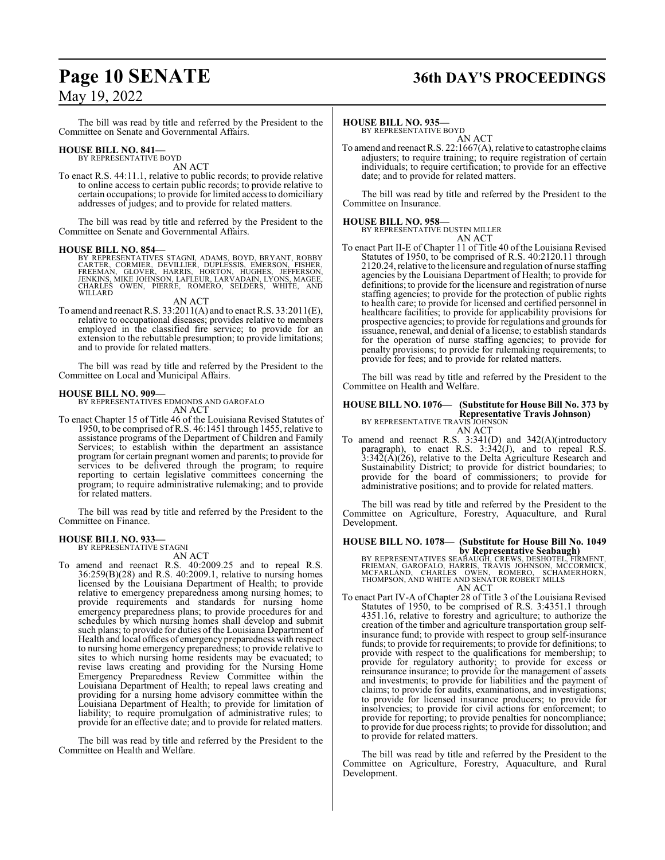The bill was read by title and referred by the President to the Committee on Senate and Governmental Affairs.

#### **HOUSE BILL NO. 841—**

BY REPRESENTATIVE BOYD AN ACT

To enact R.S. 44:11.1, relative to public records; to provide relative to online access to certain public records; to provide relative to certain occupations; to provide for limited access to domiciliary addresses of judges; and to provide for related matters.

The bill was read by title and referred by the President to the Committee on Senate and Governmental Affairs.

#### **HOUSE BILL NO. 854—**

BY REPRESENTATIVES STAGNI, ADAMS, BOYD, BRYANT, ROBBY<br>CARTER, CORMIER, DEVILLIER, DUPLESSIS, EMERSON, FISHER,<br>FREEMAN, GLOVER, HARRIS, HORTON, HUGHES, JEFFERSON,<br>JENKINS, MIKE JOHNSON, LAFLEUR, LARVADAIN, LYONS, MAGEE,<br>CHA WILLARD<sub></sub>

#### AN ACT

To amend and reenact R.S. 33:2011(A) and to enact R.S. 33:2011(E), relative to occupational diseases; provides relative to members employed in the classified fire service; to provide for an extension to the rebuttable presumption; to provide limitations; and to provide for related matters.

The bill was read by title and referred by the President to the Committee on Local and Municipal Affairs.

**HOUSE BILL NO. 909—** BY REPRESENTATIVES EDMONDS AND GAROFALO AN ACT

To enact Chapter 15 of Title 46 of the Louisiana Revised Statutes of 1950, to be comprised ofR.S. 46:1451 through 1455, relative to assistance programs of the Department of Children and Family Services; to establish within the department an assistance program for certain pregnant women and parents; to provide for services to be delivered through the program; to require reporting to certain legislative committees concerning the program; to require administrative rulemaking; and to provide for related matters.

The bill was read by title and referred by the President to the Committee on Finance.

#### **HOUSE BILL NO. 933—**

BY REPRESENTATIVE STAGNI AN ACT

To amend and reenact R.S. 40:2009.25 and to repeal R.S. 36:259(B)(28) and R.S. 40:2009.1, relative to nursing homes licensed by the Louisiana Department of Health; to provide relative to emergency preparedness among nursing homes; to provide requirements and standards for nursing home emergency preparedness plans; to provide procedures for and schedules by which nursing homes shall develop and submit such plans; to provide for duties of the Louisiana Department of Health and local offices of emergency preparedness with respect to nursing home emergency preparedness; to provide relative to sites to which nursing home residents may be evacuated; to revise laws creating and providing for the Nursing Home Emergency Preparedness Review Committee within the Louisiana Department of Health; to repeal laws creating and providing for a nursing home advisory committee within the Louisiana Department of Health; to provide for limitation of liability; to require promulgation of administrative rules; to provide for an effective date; and to provide for related matters.

The bill was read by title and referred by the President to the Committee on Health and Welfare.

# **Page 10 SENATE 36th DAY'S PROCEEDINGS**

#### **HOUSE BILL NO. 935—**

BY REPRESENTATIVE BOYD AN ACT

To amend and reenact R.S. 22:1667(A), relative to catastrophe claims adjusters; to require training; to require registration of certain individuals; to require certification; to provide for an effective date; and to provide for related matters.

The bill was read by title and referred by the President to the Committee on Insurance.

#### **HOUSE BILL NO. 958—**

BY REPRESENTATIVE DUSTIN MILLER AN ACT

To enact Part II-E of Chapter 11 of Title 40 of the Louisiana Revised Statutes of 1950, to be comprised of R.S. 40:2120.11 through 2120.24, relative to the licensure and regulation of nurse staffing agencies by the Louisiana Department of Health; to provide for definitions; to provide for the licensure and registration of nurse staffing agencies; to provide for the protection of public rights to health care; to provide for licensed and certified personnel in healthcare facilities; to provide for applicability provisions for prospective agencies; to provide for regulations and grounds for issuance, renewal, and denial of a license; to establish standards for the operation of nurse staffing agencies; to provide for penalty provisions; to provide for rulemaking requirements; to provide for fees; and to provide for related matters.

The bill was read by title and referred by the President to the Committee on Health and Welfare.

# **HOUSE BILL NO. 1076— (Substitute for House Bill No. 373 by Representative Travis Johnson)**<br>BY REPRESENTATIVE TRAVIS JOHNSON<br>AN ACT

To amend and reenact R.S. 3:341(D) and 342(A)(introductory paragraph), to enact R.S. 3:342(J), and to repeal R.S.  $3:34\tilde{2}(\tilde{A})(\tilde{2}6)$ , relative to the Delta Agriculture Research and Sustainability District; to provide for district boundaries; to provide for the board of commissioners; to provide for administrative positions; and to provide for related matters.

The bill was read by title and referred by the President to the Committee on Agriculture, Forestry, Aquaculture, and Rural Development.

# **HOUSE BILL NO. 1078— (Substitute for House Bill No. 1049**

**by Representative Seabaugh)**<br>BY REPRESENTATIVES SEABAUGH, CREWS, DESHOTEL, FIRMENT,<br>FRIEMAN, GAROFALO, HARRIS, TRAVIS JOHNSON, MCCORMICK,<br>MCFARLAND, CHARLES OWEN, ROMERO, SCHAMERHORN,<br>THOMPSON, AND WHITE AND SENATOR ROBER AN ACT

- 
- To enact Part IV-A of Chapter 28 of Title 3 of the Louisiana Revised Statutes of 1950, to be comprised of R.S. 3:4351.1 through 4351.16, relative to forestry and agriculture; to authorize the creation of the timber and agriculture transportation group selfinsurance fund; to provide with respect to group self-insurance funds; to provide for requirements; to provide for definitions; to provide with respect to the qualifications for membership; to provide for regulatory authority; to provide for excess or reinsurance insurance; to provide for the management of assets and investments; to provide for liabilities and the payment of claims; to provide for audits, examinations, and investigations; to provide for licensed insurance producers; to provide for insolvencies; to provide for civil actions for enforcement; to provide for reporting; to provide penalties for noncompliance; to provide for due process rights; to provide for dissolution; and to provide for related matters.

The bill was read by title and referred by the President to the Committee on Agriculture, Forestry, Aquaculture, and Rural Development.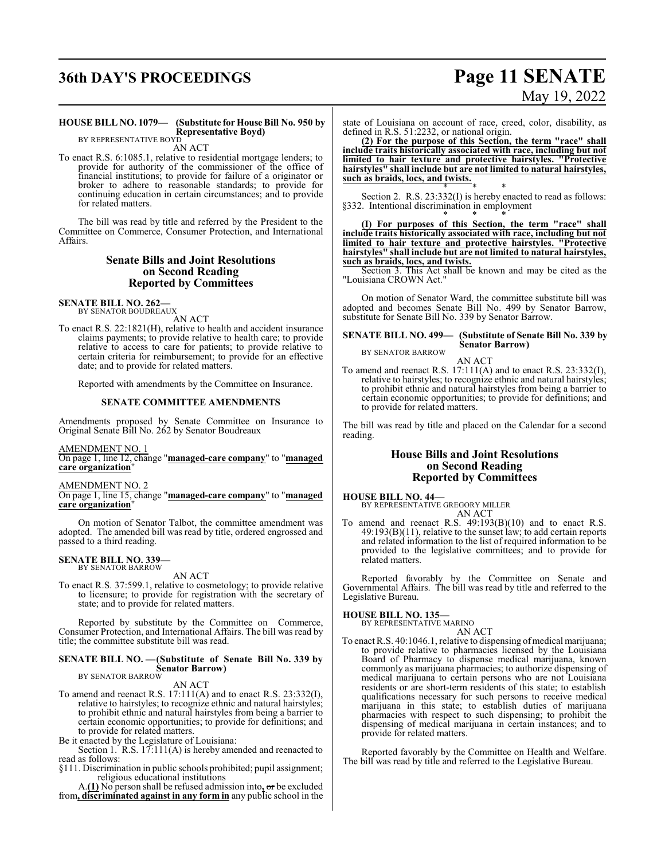## **36th DAY'S PROCEEDINGS Page 11 SENATE**

# May 19, 2022

#### **HOUSE BILL NO. 1079— (Substitute for House Bill No. 950 by Representative Boyd)** BY REPRESENTATIVE BOYD

AN ACT

To enact R.S. 6:1085.1, relative to residential mortgage lenders; to provide for authority of the commissioner of the office of financial institutions; to provide for failure of a originator or broker to adhere to reasonable standards; to provide for continuing education in certain circumstances; and to provide for related matters.

The bill was read by title and referred by the President to the Committee on Commerce, Consumer Protection, and International Affairs.

### **Senate Bills and Joint Resolutions on Second Reading Reported by Committees**

**SENATE BILL NO. 262—** BY SENATOR BOUDREAUX

AN ACT

To enact R.S. 22:1821(H), relative to health and accident insurance claims payments; to provide relative to health care; to provide relative to access to care for patients; to provide relative to certain criteria for reimbursement; to provide for an effective date; and to provide for related matters.

Reported with amendments by the Committee on Insurance.

#### **SENATE COMMITTEE AMENDMENTS**

Amendments proposed by Senate Committee on Insurance to Original Senate Bill No. 262 by Senator Boudreaux

AMENDMENT NO. 1

On page 1, line 12, change "**managed-care company**" to "**managed care organization**"

AMENDMENT NO. 2

On page 1, line 15, change "**managed-care company**" to "**managed care organization**"

On motion of Senator Talbot, the committee amendment was adopted. The amended bill was read by title, ordered engrossed and passed to a third reading.

#### **SENATE BILL NO. 339—** BY SENATOR BARROW

AN ACT

To enact R.S. 37:599.1, relative to cosmetology; to provide relative to licensure; to provide for registration with the secretary of state; and to provide for related matters.

Reported by substitute by the Committee on Commerce, Consumer Protection, and International Affairs. The bill was read by title; the committee substitute bill was read.

#### **SENATE BILL NO. —(Substitute of Senate Bill No. 339 by Senator Barrow)** BY SENATOR BARROW

AN ACT

To amend and reenact R.S. 17:111(A) and to enact R.S. 23:332(I), relative to hairstyles; to recognize ethnic and natural hairstyles; to prohibit ethnic and natural hairstyles from being a barrier to certain economic opportunities; to provide for definitions; and to provide for related matters.

Be it enacted by the Legislature of Louisiana:

Section 1. R.S. 17:111(A) is hereby amended and reenacted to read as follows:

§111. Discrimination in public schools prohibited; pupil assignment; religious educational institutions

A.**(1)** No person shall be refused admission into**,** or be excluded from**, discriminated against in any form in** any public school in the

state of Louisiana on account of race, creed, color, disability, as defined in R.S. 51:2232, or national origin.

**(2) For the purpose of this Section, the term "race" shall include traits historically associated with race, including but not limited to hair texture and protective hairstyles. "Protective hairstyles" shall include but are not limited to natural hairstyles, such as braids, locs, and twists.** \* \* \*

Section 2. R.S. 23:332(I) is hereby enacted to read as follows: §332. Intentional discrimination in employment

\* \* \* **(I) For purposes of this Section, the term "race" shall include traits historically associated with race, including but not limited to hair texture and protective hairstyles. "Protective hairstyles" shall include but are not limited to natural hairstyles, such as braids, locs, and twists.**

Section 3. This Act shall be known and may be cited as the "Louisiana CROWN Act."

On motion of Senator Ward, the committee substitute bill was adopted and becomes Senate Bill No. 499 by Senator Barrow, substitute for Senate Bill No. 339 by Senator Barrow.

#### **SENATE BILL NO. 499— (Substitute of Senate Bill No. 339 by Senator Barrow)**

BY SENATOR BARROW

AN ACT To amend and reenact R.S. 17:111(A) and to enact R.S. 23:332(I), relative to hairstyles; to recognize ethnic and natural hairstyles; to prohibit ethnic and natural hairstyles from being a barrier to certain economic opportunities; to provide for definitions; and to provide for related matters.

The bill was read by title and placed on the Calendar for a second reading.

#### **House Bills and Joint Resolutions on Second Reading Reported by Committees**

**HOUSE BILL NO. 44—** BY REPRESENTATIVE GREGORY MILLER AN ACT

To amend and reenact R.S. 49:193(B)(10) and to enact R.S. 49:193(B)(11), relative to the sunset law; to add certain reports and related information to the list of required information to be provided to the legislative committees; and to provide for related matters.

Reported favorably by the Committee on Senate and Governmental Affairs. The bill was read by title and referred to the Legislative Bureau.

**HOUSE BILL NO. 135—**

BY REPRESENTATIVE MARINO AN ACT

To enact R.S. 40:1046.1, relative to dispensing of medical marijuana; to provide relative to pharmacies licensed by the Louisiana Board of Pharmacy to dispense medical marijuana, known commonly as marijuana pharmacies; to authorize dispensing of medical marijuana to certain persons who are not Louisiana residents or are short-term residents of this state; to establish qualifications necessary for such persons to receive medical marijuana in this state; to establish duties of marijuana pharmacies with respect to such dispensing; to prohibit the dispensing of medical marijuana in certain instances; and to provide for related matters.

Reported favorably by the Committee on Health and Welfare. The bill was read by title and referred to the Legislative Bureau.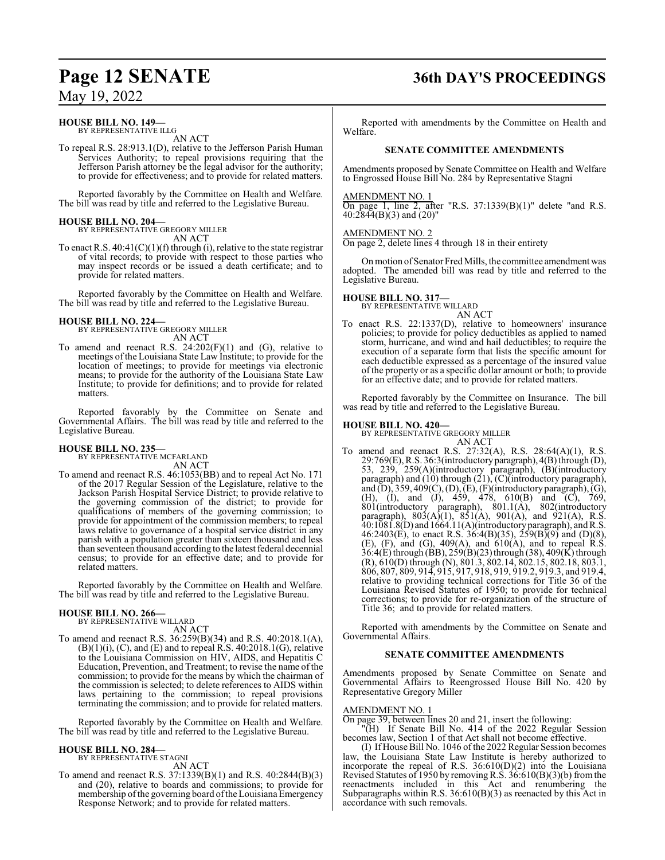## **HOUSE BILL NO. 149—**

BY REPRESENTATIVE ILLG AN ACT

To repeal R.S. 28:913.1(D), relative to the Jefferson Parish Human Services Authority; to repeal provisions requiring that the Jefferson Parish attorney be the legal advisor for the authority; to provide for effectiveness; and to provide for related matters.

Reported favorably by the Committee on Health and Welfare. The bill was read by title and referred to the Legislative Bureau.

# **HOUSE BILL NO. 204—** BY REPRESENTATIVE GREGORY MILLER

AN ACT

To enact R.S. 40:41(C)(1)(f) through (i), relative to the state registrar of vital records; to provide with respect to those parties who may inspect records or be issued a death certificate; and to provide for related matters.

Reported favorably by the Committee on Health and Welfare. The bill was read by title and referred to the Legislative Bureau.

#### **HOUSE BILL NO. 224—** BY REPRESENTATIVE GREGORY MILLER AN ACT

To amend and reenact R.S. 24:202(F)(1) and (G), relative to meetings of the Louisiana State Law Institute; to provide for the location of meetings; to provide for meetings via electronic means; to provide for the authority of the Louisiana State Law Institute; to provide for definitions; and to provide for related matters.

Reported favorably by the Committee on Senate and Governmental Affairs. The bill was read by title and referred to the Legislative Bureau.

**HOUSE BILL NO. 235—** BY REPRESENTATIVE MCFARLAND AN ACT

To amend and reenact R.S. 46:1053(BB) and to repeal Act No. 171 of the 2017 Regular Session of the Legislature, relative to the Jackson Parish Hospital Service District; to provide relative to the governing commission of the district; to provide for qualifications of members of the governing commission; to provide for appointment of the commission members; to repeal laws relative to governance of a hospital service district in any parish with a population greater than sixteen thousand and less than seventeen thousand according to the latest federal decennial census; to provide for an effective date; and to provide for related matters.

Reported favorably by the Committee on Health and Welfare. The bill was read by title and referred to the Legislative Bureau.

# **HOUSE BILL NO. 266—** BY REPRESENTATIVE WILLARD

AN ACT

To amend and reenact R.S. 36:259(B)(34) and R.S. 40:2018.1(A),  $(B)(1)(i)$ ,  $(C)$ , and  $(E)$  and to repeal R.S. 40:2018.1 $(G)$ , relative to the Louisiana Commission on HIV, AIDS, and Hepatitis C Education, Prevention, and Treatment; to revise the name of the commission; to provide for the means by which the chairman of the commission is selected; to delete references to AIDS within laws pertaining to the commission; to repeal provisions terminating the commission; and to provide for related matters.

Reported favorably by the Committee on Health and Welfare. The bill was read by title and referred to the Legislative Bureau.

## **HOUSE BILL NO. 284—** BY REPRESENTATIVE STAGNI

AN ACT

To amend and reenact R.S. 37:1339(B)(1) and R.S. 40:2844(B)(3) and (20), relative to boards and commissions; to provide for membership of the governing board of the Louisiana Emergency Response Network; and to provide for related matters.

## **Page 12 SENATE 36th DAY'S PROCEEDINGS**

Reported with amendments by the Committee on Health and Welfare.

## **SENATE COMMITTEE AMENDMENTS**

Amendments proposed by Senate Committee on Health and Welfare to Engrossed House Bill No. 284 by Representative Stagni

AMENDMENT NO. 1

On page 1, line 2, after "R.S.  $37:1339(B)(1)$ " delete "and R.S. 40:2844(B)(3) and (20)"

#### AMENDMENT NO. 2

On page 2, delete lines 4 through 18 in their entirety

On motion of Senator Fred Mills, the committee amendment was adopted. The amended bill was read by title and referred to the Legislative Bureau.

#### **HOUSE BILL NO. 317—**

BY REPRESENTATIVE WILLARD AN ACT

To enact R.S. 22:1337(D), relative to homeowners' insurance policies; to provide for policy deductibles as applied to named storm, hurricane, and wind and hail deductibles; to require the execution of a separate form that lists the specific amount for each deductible expressed as a percentage of the insured value of the property or as a specific dollar amount or both; to provide for an effective date; and to provide for related matters.

Reported favorably by the Committee on Insurance. The bill was read by title and referred to the Legislative Bureau.

## **HOUSE BILL NO. 420—** BY REPRESENTATIVE GREGORY MILLER

AN ACT

To amend and reenact R.S. 27:32(A), R.S. 28:64(A)(1), R.S. 29:769(E), R.S. 36:3(introductory paragraph), 4(B) through (D), 53, 239, 259(A)(introductory paragraph), (B)(introductory paragraph) and (10) through (21), (C)(introductory paragraph), and (D), 359, 409(C), (D), (E), (F)(introductory paragraph), (G), (H), (I), and (J), 459, 478, 610(B) and (C), 769, 801(introductory paragraph), 801.1(A), 802(introductory paragraph),  $803(A)(1)$ ,  $851(A)$ ,  $901(A)$ , and  $921(A)$ , R.S. 40:1081.8(D) and 1664.11(A)(introductoryparagraph), andR.S. 46:2403(E), to enact R.S. 36:4(B)(35), 259(B)(9) and (D)(8), (E), (F), and (G), 409(A), and 610(A), and to repeal R.S. 36:4(E) through (BB), 259(B)(23)through (38), 409(K) through (R), 610(D) through (N), 801.3, 802.14, 802.15, 802.18, 803.1, 806, 807, 809, 914, 915, 917, 918, 919, 919.2, 919.3, and 919.4, relative to providing technical corrections for Title 36 of the Louisiana Revised Statutes of 1950; to provide for technical corrections; to provide for re-organization of the structure of Title 36; and to provide for related matters.

Reported with amendments by the Committee on Senate and Governmental Affairs.

#### **SENATE COMMITTEE AMENDMENTS**

Amendments proposed by Senate Committee on Senate and Governmental Affairs to Reengrossed House Bill No. 420 by Representative Gregory Miller

#### AMENDMENT NO. 1

On page 39, between lines 20 and 21, insert the following:

"(H) If Senate Bill No. 414 of the 2022 Regular Session becomes law, Section 1 of that Act shall not become effective.

(I) If House Bill No. 1046 ofthe 2022 Regular Session becomes law, the Louisiana State Law Institute is hereby authorized to incorporate the repeal of R.S. 36:610(D)(2) into the Louisiana Revised Statutes of 1950 by removingR.S. 36:610(B)(3)(b) fromthe reenactments included in this Act and renumbering the Subparagraphs within R.S. 36:610(B)(3) as reenacted by this Act in accordance with such removals.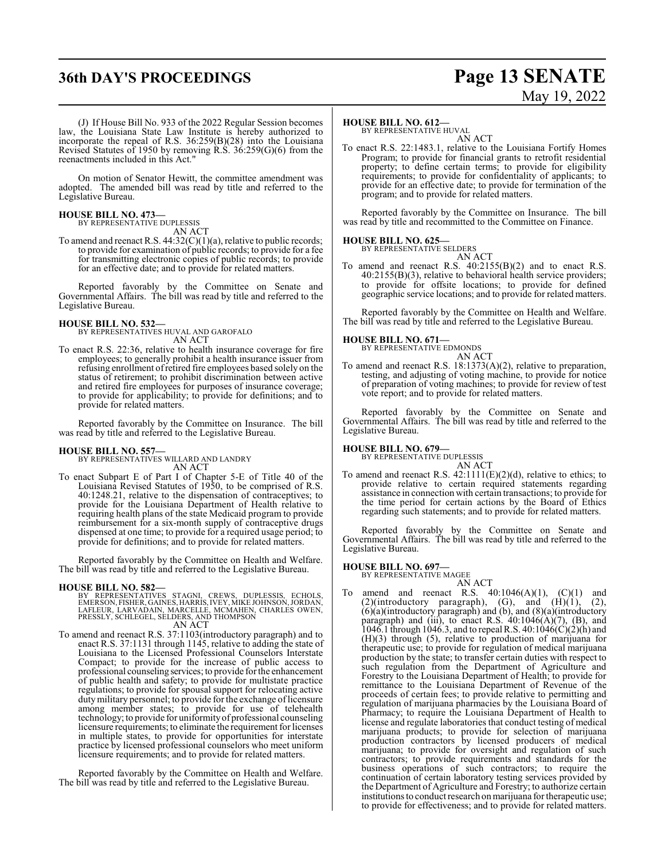# **36th DAY'S PROCEEDINGS Page 13 SENATE**

# May 19, 2022

(J) If House Bill No. 933 of the 2022 Regular Session becomes law, the Louisiana State Law Institute is hereby authorized to incorporate the repeal of R.S. 36:259(B)(28) into the Louisiana Revised Statutes of 1950 by removing R.S. 36:259(G)(6) from the reenactments included in this Act."

On motion of Senator Hewitt, the committee amendment was adopted. The amended bill was read by title and referred to the Legislative Bureau.

## **HOUSE BILL NO. 473—**

BY REPRESENTATIVE DUPLESSIS AN ACT

To amend and reenact R.S. 44:32(C)(1)(a), relative to public records; to provide for examination of public records; to provide for a fee for transmitting electronic copies of public records; to provide for an effective date; and to provide for related matters.

Reported favorably by the Committee on Senate and Governmental Affairs. The bill was read by title and referred to the Legislative Bureau.

#### **HOUSE BILL NO. 532—**

BY REPRESENTATIVES HUVAL AND GAROFALO AN ACT

To enact R.S. 22:36, relative to health insurance coverage for fire employees; to generally prohibit a health insurance issuer from refusing enrollment ofretired fire employees based solely on the status of retirement; to prohibit discrimination between active and retired fire employees for purposes of insurance coverage; to provide for applicability; to provide for definitions; and to provide for related matters.

Reported favorably by the Committee on Insurance. The bill was read by title and referred to the Legislative Bureau.

**HOUSE BILL NO. 557—** BY REPRESENTATIVES WILLARD AND LANDRY AN ACT

To enact Subpart E of Part I of Chapter 5-E of Title 40 of the Louisiana Revised Statutes of 1950, to be comprised of R.S. 40:1248.21, relative to the dispensation of contraceptives; to provide for the Louisiana Department of Health relative to requiring health plans of the state Medicaid program to provide reimbursement for a six-month supply of contraceptive drugs dispensed at one time; to provide for a required usage period; to provide for definitions; and to provide for related matters.

Reported favorably by the Committee on Health and Welfare. The bill was read by title and referred to the Legislative Bureau.

**HOUSE BILL NO. 582—**<br>BY REPRESENTATIVES STAGNI, CREWS, DUPLESSIS, ECHOLS, EMERSON, FISHER, GAINES, HARRIS, IVEY, MIKE JOHNSON, JORDAN,<br>LAFLEUR, LARVADAIN, MARCELLE, MCMAHEN, CHARLES OWEN,<br>PRESSLY, SCHLEGEL, SELDERS, AND T AN ACT

To amend and reenact R.S. 37:1103(introductory paragraph) and to enact R.S. 37:1131 through 1145, relative to adding the state of Louisiana to the Licensed Professional Counselors Interstate Compact; to provide for the increase of public access to professional counseling services; to provide for the enhancement of public health and safety; to provide for multistate practice regulations; to provide for spousal support for relocating active duty military personnel; to provide for the exchange of licensure among member states; to provide for use of telehealth technology; to provide for uniformityof professional counseling licensure requirements; to eliminate the requirement for licenses in multiple states, to provide for opportunities for interstate practice by licensed professional counselors who meet uniform licensure requirements; and to provide for related matters.

Reported favorably by the Committee on Health and Welfare. The bill was read by title and referred to the Legislative Bureau.

#### **HOUSE BILL NO. 612—**

BY REPRESENTATIVE HUVAL AN ACT

To enact R.S. 22:1483.1, relative to the Louisiana Fortify Homes Program; to provide for financial grants to retrofit residential property; to define certain terms; to provide for eligibility requirements; to provide for confidentiality of applicants; to provide for an effective date; to provide for termination of the program; and to provide for related matters.

Reported favorably by the Committee on Insurance. The bill was read by title and recommitted to the Committee on Finance.

#### **HOUSE BILL NO. 625—** BY REPRESENTATIVE SELDERS



To amend and reenact R.S. 40:2155(B)(2) and to enact R.S. 40:2155(B)(3), relative to behavioral health service providers; to provide for offsite locations; to provide for defined geographic service locations; and to provide for related matters.

Reported favorably by the Committee on Health and Welfare. The bill was read by title and referred to the Legislative Bureau.

### **HOUSE BILL NO. 671—**

BY REPRESENTATIVE EDMONDS AN ACT

To amend and reenact R.S. 18:1373(A)(2), relative to preparation, testing, and adjusting of voting machine, to provide for notice of preparation of voting machines; to provide for review of test vote report; and to provide for related matters.

Reported favorably by the Committee on Senate and Governmental Affairs. The bill was read by title and referred to the Legislative Bureau.

## **HOUSE BILL NO. 679—** BY REPRESENTATIVE DUPLESSIS

AN ACT

To amend and reenact R.S.  $42:1111(E)(2)(d)$ , relative to ethics; to provide relative to certain required statements regarding assistance in connection with certain transactions; to provide for the time period for certain actions by the Board of Ethics regarding such statements; and to provide for related matters.

Reported favorably by the Committee on Senate and Governmental Affairs. The bill was read by title and referred to the Legislative Bureau.

**HOUSE BILL NO. 697—** BY REPRESENTATIVE MAGEE AN ACT To amend and reenact R.S.  $40:1046(A)(1)$ ,  $(C)(1)$  and  $(2)($ introductory paragraph),  $(G)$ , and  $(H)(1)$ ,  $(2)$ , (6)(a)(introductory paragraph) and (b), and (8)(a)(introductory paragraph) and (iii), to enact R.S.  $40:1046(A)(7)$ , (B), and 1046.1 through 1046.3, and to repeal R.S. 40:1046(C)(2)(h) and (H)(3) through (5), relative to production of marijuana for therapeutic use; to provide for regulation of medical marijuana production by the state; to transfer certain duties with respect to such regulation from the Department of Agriculture and Forestry to the Louisiana Department of Health; to provide for remittance to the Louisiana Department of Revenue of the proceeds of certain fees; to provide relative to permitting and regulation of marijuana pharmacies by the Louisiana Board of Pharmacy; to require the Louisiana Department of Health to license and regulate laboratories that conduct testing of medical marijuana products; to provide for selection of marijuana production contractors by licensed producers of medical marijuana; to provide for oversight and regulation of such contractors; to provide requirements and standards for the business operations of such contractors; to require the continuation of certain laboratory testing services provided by the Department of Agriculture and Forestry; to authorize certain

institutions to conduct research on marijuana for therapeutic use; to provide for effectiveness; and to provide for related matters.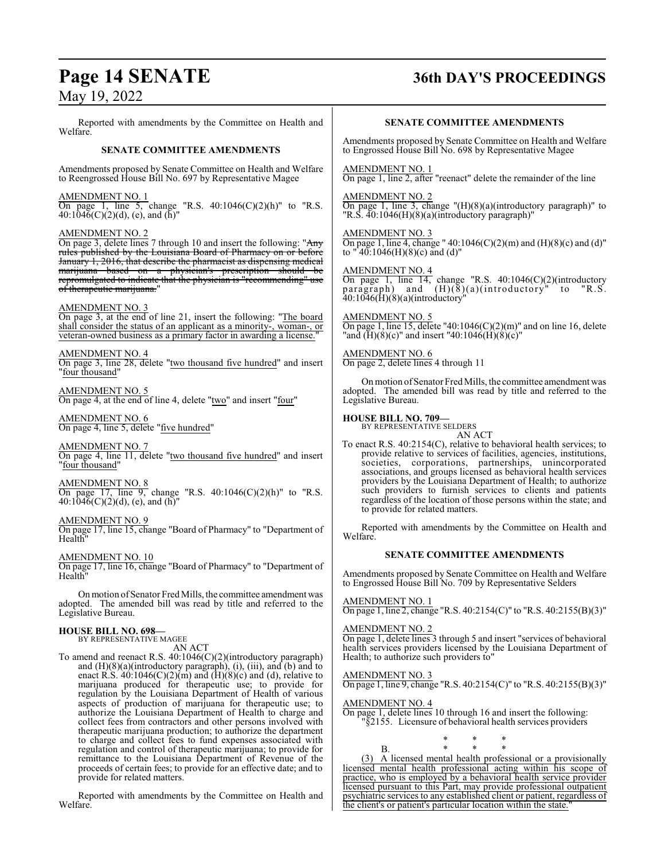Reported with amendments by the Committee on Health and Welfare.

### **SENATE COMMITTEE AMENDMENTS**

Amendments proposed by Senate Committee on Health and Welfare to Reengrossed House Bill No. 697 by Representative Magee

#### AMENDMENT NO. 1

On page 1, line 5, change "R.S.  $40:1046(C)(2)(h)$ " to "R.S.  $40:104\bar{6}$ (C)(2)(d), (e), and (h)"

#### AMENDMENT NO. 2

On page 3, delete lines 7 through 10 and insert the following: "Any rules published by the Louisiana Board of Pharmacy on or before January 1, 2016, that describe the pharmacist as dispensing medical marijuana based on a physician's prescription should be repromulgated to indicate that the physician is "recommending" use of therapeutic marijuana."

#### AMENDMENT NO. 3

On page 3, at the end of line 21, insert the following: "The board shall consider the status of an applicant as a minority-, woman-, or veteran-owned business as a primary factor in awarding a license."

#### AMENDMENT NO. 4

On page 3, line 28, delete "two thousand five hundred" and insert "four thousand"

AMENDMENT NO. 5 On page 4, at the end of line 4, delete "two" and insert "four"

AMENDMENT NO. 6 On page 4, line 5, delete "five hundred"

AMENDMENT NO. 7 On page 4, line 11, delete "two thousand five hundred" and insert "four thousand"

## AMENDMENT NO. 8

On page 17, line 9, change "R.S.  $40:1046(C)(2)(h)$ " to "R.S.  $40:104\bar{6}$ (C)(2)(d), (e), and (h)"

#### AMENDMENT NO. 9

On page 17, line 15, change "Board of Pharmacy" to "Department of Health"

#### AMENDMENT NO. 10

On page 17, line 16, change "Board of Pharmacy" to "Department of **Health** 

On motion of Senator Fred Mills, the committee amendment was adopted. The amended bill was read by title and referred to the Legislative Bureau.

#### **HOUSE BILL NO. 698—**

BY REPRESENTATIVE MAGEE

- AN ACT
- To amend and reenact R.S. 40:1046(C)(2)(introductory paragraph) and (H)(8)(a)(introductory paragraph), (i), (iii), and (b) and to enact R.S.  $40:1046(C)(2)(m)$  and  $(H)(8)(c)$  and (d), relative to marijuana produced for therapeutic use; to provide for regulation by the Louisiana Department of Health of various aspects of production of marijuana for therapeutic use; to authorize the Louisiana Department of Health to charge and collect fees from contractors and other persons involved with therapeutic marijuana production; to authorize the department to charge and collect fees to fund expenses associated with regulation and control of therapeutic marijuana; to provide for remittance to the Louisiana Department of Revenue of the proceeds of certain fees; to provide for an effective date; and to provide for related matters.

Reported with amendments by the Committee on Health and Welfare.

## **Page 14 SENATE 36th DAY'S PROCEEDINGS**

#### **SENATE COMMITTEE AMENDMENTS**

Amendments proposed by Senate Committee on Health and Welfare to Engrossed House Bill No. 698 by Representative Magee

AMENDMENT NO. 1

On page 1, line 2, after "reenact" delete the remainder of the line

AMENDMENT NO. 2 On page 1, line 3, change "(H)(8)(a)(introductory paragraph)" to "R.S. 40:1046(H)(8)(a)(introductory paragraph)"

AMENDMENT NO. 3 On page 1, line 4, change "  $40:1046(C)(2)(m)$  and  $(H)(8)(c)$  and  $(d)$ " to " $40:1046(H)(8)(c)$  and (d)"

AMENDMENT NO. 4

On page 1, line  $14$ , change "R.S.  $40:1046(C)(2)$ (introductory paragraph) and (H)(8)(a)(introductory" to "R.S. 40:1046(H)(8)(a)(introductory"

AMENDMENT NO. 5 On page 1, line 15, delete "40:1046(C)(2)(m)" and on line 16, delete "and  $(H)(8)(c)$ " and insert "40:1046(H)(8)(c)"

#### AMENDMENT NO. 6 On page 2, delete lines 4 through 11

On motion of Senator Fred Mills, the committee amendment was adopted. The amended bill was read by title and referred to the Legislative Bureau.

#### **HOUSE BILL NO. 709—**

BY REPRESENTATIVE SELDERS

AN ACT To enact R.S. 40:2154(C), relative to behavioral health services; to provide relative to services of facilities, agencies, institutions, societies, corporations, partnerships, unincorporated associations, and groups licensed as behavioral health services providers by the Louisiana Department of Health; to authorize such providers to furnish services to clients and patients regardless of the location of those persons within the state; and to provide for related matters.

Reported with amendments by the Committee on Health and Welfare.

#### **SENATE COMMITTEE AMENDMENTS**

Amendments proposed by Senate Committee on Health and Welfare to Engrossed House Bill No. 709 by Representative Selders

#### AMENDMENT NO. 1

On page 1, line 2, change "R.S. 40:2154(C)" to "R.S. 40:2155(B)(3)"

#### AMENDMENT NO. 2

On page 1, delete lines 3 through 5 and insert "services of behavioral health services providers licensed by the Louisiana Department of Health; to authorize such providers to"

#### AMENDMENT NO. 3

On page 1, line 9, change "R.S. 40:2154(C)" to "R.S. 40:2155(B)(3)"

#### AMENDMENT NO. 4

On page 1, delete lines 10 through 16 and insert the following: "§2155. Licensure of behavioral health services providers

> \* \* \* B. \* \* \*

(3) A licensed mental health professional or a provisionally licensed mental health professional acting within his scope of practice, who is employed by a behavioral health service provider licensed pursuant to this Part, may provide professional outpatient psychiatric services to any established client or patient, regardless of the client's or patient's particular location within the state."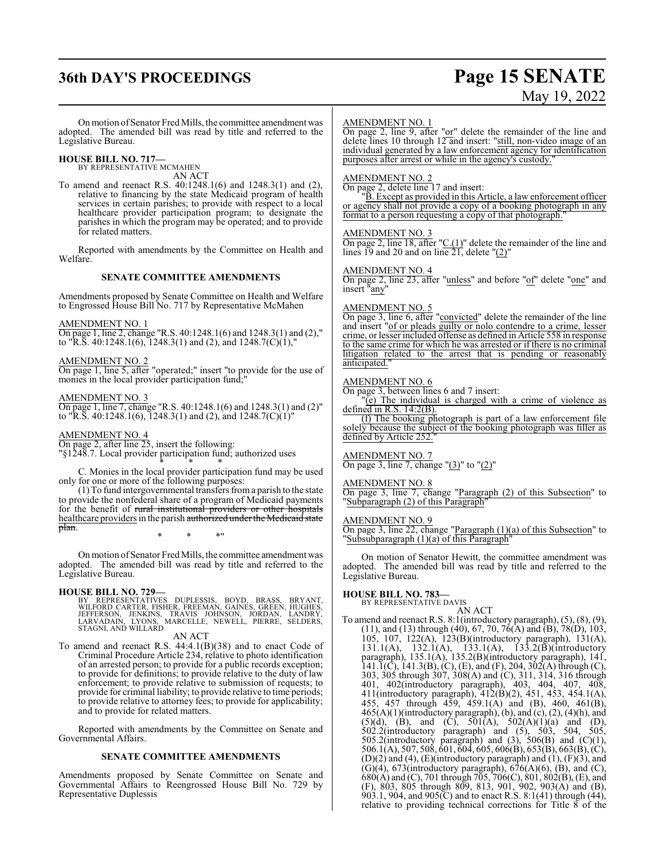# **36th DAY'S PROCEEDINGS Page 15 SENATE**

# May 19, 2022

Onmotion ofSenator Fred Mills, the committee amendment was adopted. The amended bill was read by title and referred to the Legislative Bureau.

**HOUSE BILL NO. 717—** BY REPRESENTATIVE MCMAHEN

AN ACT

To amend and reenact R.S. 40:1248.1(6) and 1248.3(1) and (2), relative to financing by the state Medicaid program of health services in certain parishes; to provide with respect to a local healthcare provider participation program; to designate the parishes in which the program may be operated; and to provide for related matters.

Reported with amendments by the Committee on Health and Welfare.

#### **SENATE COMMITTEE AMENDMENTS**

Amendments proposed by Senate Committee on Health and Welfare to Engrossed House Bill No. 717 by Representative McMahen

AMENDMENT NO. 1

On page 1, line 2, change "R.S. 40:1248.1(6) and 1248.3(1) and (2)," to "R.S. 40:1248.1(6), 1248.3(1) and (2), and 1248.7(C)(1),"

AMENDMENT NO. 2

On page 1, line 5, after "operated;" insert "to provide for the use of monies in the local provider participation fund;"

#### AMENDMENT NO. 3

On page 1, line 7, change "R.S. 40:1248.1(6) and 1248.3(1) and (2)" to "R.S. 40:1248.1(6), 1248.3(1) and (2), and 1248.7(C)(1)"

#### AMENDMENT NO. 4

On page 2, after line 25, insert the following:

"§1248.7. Local provider participation fund; authorized uses

\* \* \* C. Monies in the local provider participation fund may be used only for one or more of the following purposes:

(1) To fund intergovernmental transfers froma parish to the state to provide the nonfederal share of a program of Medicaid payments for the benefit of rural institutional providers or other hospitals healthcare providers in the parish authorized under the Medicaid state plan. \* \* \*"

On motion of Senator Fred Mills, the committee amendment was adopted. The amended bill was read by title and referred to the Legislative Bureau.

#### **HOUSE BILL NO. 729—**

BY REPRESENTATIVES DUPLESSIS, BOYD, BRASS, BRYANT,<br>WILFORD CARTER, FISHER, FREEMAN, GAINES, GREEN, HUGHES,<br>JEFFERSON, JENKINS, TRAVIS JOHNSON, JORDAN, LANDRY,<br>LARVADAIN, LYONS, MARCELLE, NEWELL, PIERRE, SELDERS,<br>STAGNI, AN

#### AN ACT

To amend and reenact R.S. 44:4.1(B)(38) and to enact Code of Criminal Procedure Article 234, relative to photo identification of an arrested person; to provide for a public records exception; to provide for definitions; to provide relative to the duty of law enforcement; to provide relative to submission of requests; to provide for criminal liability; to provide relative to time periods; to provide relative to attorney fees; to provide for applicability; and to provide for related matters.

Reported with amendments by the Committee on Senate and Governmental Affairs.

#### **SENATE COMMITTEE AMENDMENTS**

Amendments proposed by Senate Committee on Senate and Governmental Affairs to Reengrossed House Bill No. 729 by Representative Duplessis

#### AMENDMENT NO. 1

On page 2, line 9, after "or" delete the remainder of the line and delete lines 10 through 12 and insert: "still, non-video image of an individual generated by a law enforcement agency for identification purposes after arrest or while in the agency's custody."

#### AMENDMENT NO. 2

On page 2, delete line 17 and insert:

"B. Except as provided in this Article, a law enforcement officer or agency shall not provide a copy of a booking photograph in any format to a person requesting a copy of that photograph."

#### AMENDMENT NO. 3

On page 2, line 18, after " $C.(1)$ " delete the remainder of the line and lines 19 and 20 and on line  $\overline{21}$ , delete "(2)"

## AMENDMENT NO. 4

On page 2, line 23, after "unless" and before "of" delete "one" and insert "any"

#### AMENDMENT NO. 5

On page 3, line 6, after "convicted" delete the remainder of the line and insert "of or pleads guilty or nolo contendre to a crime, lesser crime, or lesser included offense as defined in Article 558 in response to the same crime for which he was arrested or if there is no criminal litigation related to the arrest that is pending or reasonably anticipated."

#### AMENDMENT NO. 6

On page 3, between lines 6 and 7 insert:

"(e) The individual is charged with a crime of violence as defined in R.S.  $14:2(B)$ .

(f) The booking photograph is part of a law enforcement file solely because the subject of the booking photograph was filler as defined by Article 252.

#### AMENDMENT NO. 7

On page 3, line 7, change " $(3)$ " to " $(2)$ "

#### AMENDMENT NO. 8

On page 3, line 7, change "Paragraph (2) of this Subsection" to "Subparagraph (2) of this Paragraph"

#### AMENDMENT NO. 9

On page 3, line 22, change "Paragraph (1)(a) of this Subsection" to "Subsubparagraph (1)(a) of this Paragraph"

On motion of Senator Hewitt, the committee amendment was adopted. The amended bill was read by title and referred to the Legislative Bureau.

## **HOUSE BILL NO. 783—** BY REPRESENTATIVE DAVIS

AN ACT To amend and reenact R.S. 8:1(introductory paragraph), (5), (8), (9),  $(11)$ , and  $(13)$  through  $(40)$ , 67, 70, 76 $(A)$  and  $(B)$ , 78 $(D)$ , 103, 105, 107, 122(A), 123(B)(introductory paragraph), 131(A), 131.1(A), 132.1(A), 133.1(A), 133.2(B)(introductory paragraph), 135.1(A), 135.2(B)(introductory paragraph), 141, 141.1(C), 141.3(B), (C), (E), and (F), 204, 302(A) through (C), 303, 305 through 307, 308(A) and (C), 311, 314, 316 through 401, 402(introductory paragraph), 403, 404, 407, 408, 411(introductory paragraph), 412(B)(2), 451, 453, 454.1(A), 455, 457 through 459, 459.1(A) and (B), 460, 461(B),  $465(A)(1)$ (introductory paragraph), (b), and (c), (2), (4)(h), and  $(5)(d)$ ,  $(B)$ , and  $(C)$ ,  $501(A)$ ,  $502(A)(1)(a)$  and  $(D)$ , 502.2(introductory paragraph) and (5), 503, 504, 505, 505.2(introductory paragraph) and  $(3)$ , 506 $(B)$  and  $(C)(1)$ , 506.1(A), 507, 508, 601, 604, 605, 606(B), 653(B), 663(B), (C),  $(D)(2)$  and  $(4)$ ,  $(E)$ (introductory paragraph) and  $(1)$ ,  $(F)(3)$ , and  $(G)(4)$ , 673(introductory paragraph), 676(A)(6), (B), and (C), 680(A) and (C), 701 through 705, 706(C), 801, 802(B), (E), and (F), 803, 805 through 809, 813, 901, 902, 903(A) and (B), 903.1, 904, and 905 $(C)$  and to enact R.S. 8:1(41) through (44), relative to providing technical corrections for Title 8 of the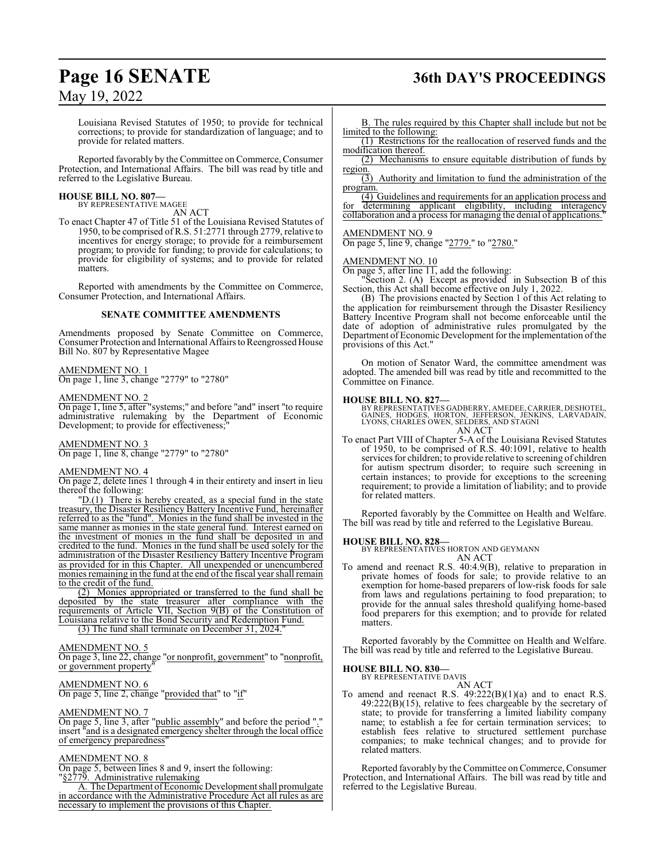# **Page 16 SENATE 36th DAY'S PROCEEDINGS**

## May 19, 2022

Louisiana Revised Statutes of 1950; to provide for technical corrections; to provide for standardization of language; and to provide for related matters.

Reported favorably by the Committee on Commerce, Consumer Protection, and International Affairs. The bill was read by title and referred to the Legislative Bureau.

# **HOUSE BILL NO. 807—** BY REPRESENTATIVE MAGEE

AN ACT

To enact Chapter 47 of Title 51 of the Louisiana Revised Statutes of 1950, to be comprised of R.S. 51:2771 through 2779, relative to incentives for energy storage; to provide for a reimbursement program; to provide for funding; to provide for calculations; to provide for eligibility of systems; and to provide for related matters.

Reported with amendments by the Committee on Commerce, Consumer Protection, and International Affairs.

#### **SENATE COMMITTEE AMENDMENTS**

Amendments proposed by Senate Committee on Commerce, Consumer Protection and International Affairs to Reengrossed House Bill No. 807 by Representative Magee

AMENDMENT NO. 1 On page 1, line 3, change "2779" to "2780"

#### AMENDMENT NO. 2

On page 1, line 5, after "systems;" and before "and" insert "to require administrative rulemaking by the Department of Economic Development; to provide for effectiveness;

## AMENDMENT NO. 3

On page 1, line 8, change "2779" to "2780"

#### AMENDMENT NO. 4

On page 2, delete lines 1 through 4 in their entirety and insert in lieu thereof the following:

"D.(1) There is hereby created, as a special fund in the state treasury, the Disaster Resiliency Battery Incentive Fund, hereinafter referred to as the "fund". Monies in the fund shall be invested in the same manner as monies in the state general fund. Interest earned on the investment of monies in the fund shall be deposited in and credited to the fund. Monies in the fund shall be used solely for the administration of the Disaster Resiliency Battery Incentive Program as provided for in this Chapter. All unexpended or unencumbered monies remaining in the fund at the end of the fiscal year shall remain to the credit of the fund.

(2) Monies appropriated or transferred to the fund shall be deposited by the state treasurer after compliance with the requirements of Article VII, Section 9(B) of the Constitution of Louisiana relative to the Bond Security and Redemption Fund.  $(3)$  The fund shall terminate on December 31, 2024.

#### AMENDMENT NO. 5

On page 3, line 22, change "or nonprofit, government" to "nonprofit, or government property"

## AMENDMENT NO. 6

On page 5, line 2, change "provided that" to "if"

#### AMENDMENT NO. 7

On page 5, line 3, after "public assembly" and before the period "." insert "and is a designated emergency shelter through the local office of emergency preparedness

#### AMENDMENT NO. 8

On page 5, between lines 8 and 9, insert the following: "§2779. Administrative rulemaking

A. The Department of Economic Development shall promulgate in accordance with the Administrative Procedure Act all rules as are necessary to implement the provisions of this Chapter.

B. The rules required by this Chapter shall include but not be limited to the following:

(1) Restrictions for the reallocation of reserved funds and the modification thereof.

(2) Mechanisms to ensure equitable distribution of funds by region.

(3) Authority and limitation to fund the administration of the program.

(4) Guidelines and requirements for an application process and for determining applicant eligibility, including interagency collaboration and a process for managing the denial of applications."

#### AMENDMENT NO. 9

On page 5, line 9, change "2779." to "2780."

#### AMENDMENT NO. 10

On page 5, after line  $\Pi$ , add the following:

"Section 2. (A) Except as provided in Subsection B of this Section, this Act shall become effective on July 1, 2022.

(B) The provisions enacted by Section 1 of this Act relating to the application for reimbursement through the Disaster Resiliency Battery Incentive Program shall not become enforceable until the date of adoption of administrative rules promulgated by the Department of Economic Development for the implementation of the provisions of this Act."

On motion of Senator Ward, the committee amendment was adopted. The amended bill was read by title and recommitted to the Committee on Finance.

- **HOUSE BILL NO. 827—** BY REPRESENTATIVES GADBERRY, AMEDEE, CARRIER, DESHOTEL, GAINES, HODGES, HORTON, JEFFERSON, JENKINS, LARVADAIN, LYONS, CHARLES OWEN, SELDERS, AND STAGNI AN ACT
- To enact Part VIII of Chapter 5-A of the Louisiana Revised Statutes of 1950, to be comprised of R.S. 40:1091, relative to health services for children; to provide relative to screening of children for autism spectrum disorder; to require such screening in certain instances; to provide for exceptions to the screening requirement; to provide a limitation of liability; and to provide for related matters.

Reported favorably by the Committee on Health and Welfare. The bill was read by title and referred to the Legislative Bureau.

#### **HOUSE BILL NO. 828—**

BY REPRESENTATIVES HORTON AND GEYMANN AN ACT

To amend and reenact R.S. 40:4.9(B), relative to preparation in private homes of foods for sale; to provide relative to an exemption for home-based preparers of low-risk foods for sale from laws and regulations pertaining to food preparation; to provide for the annual sales threshold qualifying home-based food preparers for this exemption; and to provide for related matters.

Reported favorably by the Committee on Health and Welfare. The bill was read by title and referred to the Legislative Bureau.

#### **HOUSE BILL NO. 830—**

BY REPRESENTATIVE DAVIS

AN ACT To amend and reenact R.S.  $49:222(B)(1)(a)$  and to enact R.S. 49:222(B)(15), relative to fees chargeable by the secretary of state; to provide for transferring a limited liability company name; to establish a fee for certain termination services; to establish fees relative to structured settlement purchase companies; to make technical changes; and to provide for related matters.

Reported favorably by the Committee on Commerce, Consumer Protection, and International Affairs. The bill was read by title and referred to the Legislative Bureau.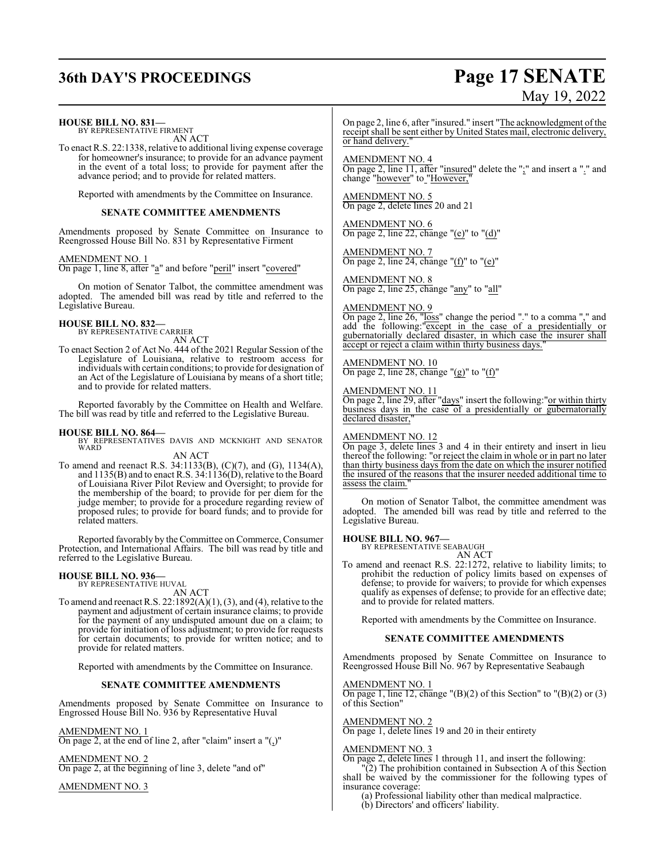# **36th DAY'S PROCEEDINGS Page 17 SENATE**

# May 19, 2022

**HOUSE BILL NO. 831—**

BY REPRESENTATIVE FIRMENT AN ACT

To enact R.S. 22:1338, relative to additional living expense coverage for homeowner's insurance; to provide for an advance payment in the event of a total loss; to provide for payment after the advance period; and to provide for related matters.

Reported with amendments by the Committee on Insurance.

#### **SENATE COMMITTEE AMENDMENTS**

Amendments proposed by Senate Committee on Insurance to Reengrossed House Bill No. 831 by Representative Firment

#### AMENDMENT NO. 1

On page 1, line 8, after "a" and before "peril" insert "covered"

On motion of Senator Talbot, the committee amendment was adopted. The amended bill was read by title and referred to the Legislative Bureau.

#### **HOUSE BILL NO. 832—**

BY REPRESENTATIVE CARRIER AN ACT

To enact Section 2 of Act No. 444 of the 2021 Regular Session of the Legislature of Louisiana, relative to restroom access for individuals with certain conditions; to provide for designation of an Act of the Legislature of Louisiana by means of a short title; and to provide for related matters.

Reported favorably by the Committee on Health and Welfare. The bill was read by title and referred to the Legislative Bureau.

#### **HOUSE BILL NO. 864—**

BY REPRESENTATIVES DAVIS AND MCKNIGHT AND SENATOR WARD AN ACT

To amend and reenact R.S. 34:1133(B), (C)(7), and (G), 1134(A), and 1135(B) and to enact R.S. 34:1136(D), relative to the Board of Louisiana River Pilot Review and Oversight; to provide for the membership of the board; to provide for per diem for the judge member; to provide for a procedure regarding review of proposed rules; to provide for board funds; and to provide for related matters.

Reported favorably by the Committee on Commerce, Consumer Protection, and International Affairs. The bill was read by title and referred to the Legislative Bureau.

#### **HOUSE BILL NO. 936—** BY REPRESENTATIVE HUVAL

AN ACT

To amend and reenact R.S.  $22:1892(A)(1), (3)$ , and  $(4)$ , relative to the payment and adjustment of certain insurance claims; to provide for the payment of any undisputed amount due on a claim; to provide for initiation of loss adjustment; to provide for requests for certain documents; to provide for written notice; and to provide for related matters.

Reported with amendments by the Committee on Insurance.

#### **SENATE COMMITTEE AMENDMENTS**

Amendments proposed by Senate Committee on Insurance to Engrossed House Bill No. 936 by Representative Huval

AMENDMENT NO. 1

On page 2, at the end of line 2, after "claim" insert a "(,)"

AMENDMENT NO. 2

On page 2, at the beginning of line 3, delete "and of"

AMENDMENT NO. 3

On page 2, line 6, after "insured." insert "The acknowledgment ofthe receipt shall be sent either by United States mail, electronic delivery, or hand delivery.

AMENDMENT NO. 4 On page 2, line 11, after "insured" delete the ";" and insert a "." and change "however" to "However,"

AMENDMENT NO. 5 On page 2, delete lines 20 and 21

AMENDMENT NO. 6 On page 2, line 22, change " $(e)$ " to " $(d)$ "

AMENDMENT NO. 7 On page 2, line 24, change "(f)" to "(e)"

AMENDMENT NO. 8 On page 2, line 25, change "any" to "all"

#### AMENDMENT NO. 9

On page 2, line 26, "loss" change the period "." to a comma "," and add the following:"except in the case of a presidentially or gubernatorially declared disaster, in which case the insurer shall accept or reject a claim within thirty business days.

AMENDMENT NO. 10 On page 2, line 28, change " $(g)$ " to " $(f)$ "

AMENDMENT NO. 11

On page 2, line 29, after "days" insert the following: "or within thirty business days in the case of a presidentially or gubernatorially declared disaster,

#### AMENDMENT NO. 12

On page 3, delete lines 3 and 4 in their entirety and insert in lieu thereof the following: "or reject the claim in whole or in part no later than thirty business days from the date on which the insurer notified the insured of the reasons that the insurer needed additional time to assess the claim.

On motion of Senator Talbot, the committee amendment was adopted. The amended bill was read by title and referred to the Legislative Bureau.

**HOUSE BILL NO. 967—**

BY REPRESENTATIVE SEABAUGH

- AN ACT
- To amend and reenact R.S. 22:1272, relative to liability limits; to prohibit the reduction of policy limits based on expenses of defense; to provide for waivers; to provide for which expenses qualify as expenses of defense; to provide for an effective date; and to provide for related matters.

Reported with amendments by the Committee on Insurance.

#### **SENATE COMMITTEE AMENDMENTS**

Amendments proposed by Senate Committee on Insurance to Reengrossed House Bill No. 967 by Representative Seabaugh

AMENDMENT NO. 1

On page 1, line 12, change " $(B)(2)$  of this Section" to " $(B)(2)$  or  $(3)$ of this Section"

AMENDMENT NO. 2 On page 1, delete lines 19 and 20 in their entirety

#### AMENDMENT NO. 3

On page 2, delete lines 1 through 11, and insert the following: "(2) The prohibition contained in Subsection A of this Section shall be waived by the commissioner for the following types of insurance coverage:

(a) Professional liability other than medical malpractice. (b) Directors' and officers' liability.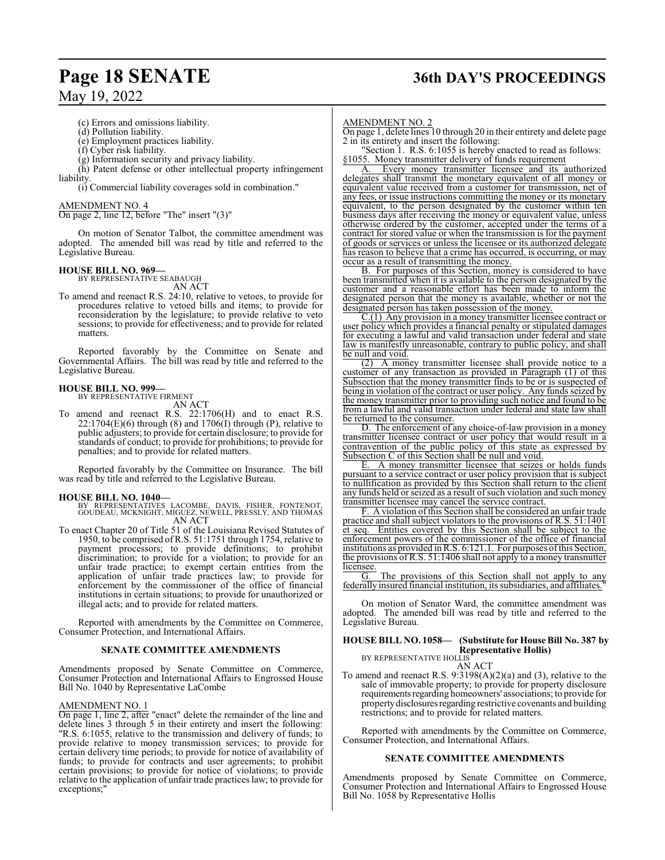# **Page 18 SENATE 36th DAY'S PROCEEDINGS**

## May 19, 2022

(c) Errors and omissions liability.

(d) Pollution liability.

(e) Employment practices liability.

(f) Cyber risk liability.

(g) Information security and privacy liability.

(h) Patent defense or other intellectual property infringement liability.

(i) Commercial liability coverages sold in combination."

#### AMENDMENT NO. 4

On page 2, line 12, before "The" insert "(3)"

On motion of Senator Talbot, the committee amendment was adopted. The amended bill was read by title and referred to the Legislative Bureau.

## **HOUSE BILL NO. 969—** BY REPRESENTATIVE SEABAUGH

- AN ACT
- To amend and reenact R.S. 24:10, relative to vetoes, to provide for procedures relative to vetoed bills and items; to provide for reconsideration by the legislature; to provide relative to veto sessions; to provide for effectiveness; and to provide for related matters.

Reported favorably by the Committee on Senate and Governmental Affairs. The bill was read by title and referred to the Legislative Bureau.

## **HOUSE BILL NO. 999—** BY REPRESENTATIVE FIRMENT

AN ACT

To amend and reenact R.S. 22:1706(H) and to enact R.S.  $22:1704(E)(6)$  through (8) and  $1706(I)$  through (P), relative to public adjusters; to provide for certain disclosure; to provide for standards of conduct; to provide for prohibitions; to provide for penalties; and to provide for related matters.

Reported favorably by the Committee on Insurance. The bill was read by title and referred to the Legislative Bureau.

- **HOUSE BILL NO. 1040—** BY REPRESENTATIVES LACOMBE, DAVIS, FISHER, FONTENOT, GOUDEAU, MCKNIGHT, MIGUEZ, NEWELL, PRESSLY, AND THOMAS AN ACT
- To enact Chapter 20 of Title 51 of the Louisiana Revised Statutes of 1950, to be comprised ofR.S. 51:1751 through 1754, relative to payment processors; to provide definitions; to prohibit discrimination; to provide for a violation; to provide for an unfair trade practice; to exempt certain entities from the application of unfair trade practices law; to provide for enforcement by the commissioner of the office of financial institutions in certain situations; to provide for unauthorized or illegal acts; and to provide for related matters.

Reported with amendments by the Committee on Commerce, Consumer Protection, and International Affairs.

#### **SENATE COMMITTEE AMENDMENTS**

Amendments proposed by Senate Committee on Commerce, Consumer Protection and International Affairs to Engrossed House Bill No. 1040 by Representative LaCombe

#### AMENDMENT NO. 1

On page 1, line 2, after "enact" delete the remainder of the line and delete lines 3 through 5 in their entirety and insert the following: "R.S. 6:1055, relative to the transmission and delivery of funds; to provide relative to money transmission services; to provide for certain delivery time periods; to provide for notice of availability of funds; to provide for contracts and user agreements; to prohibit certain provisions; to provide for notice of violations; to provide relative to the application of unfair trade practices law; to provide for exceptions;"

#### AMENDMENT NO. 2

On page 1, delete lines 10 through 20 in their entirety and delete page 2 in its entirety and insert the following:

"Section 1. R.S. 6:1055 is hereby enacted to read as follows:  $§1055$ . Money transmitter delivery of funds requirement A. Every money transmitter licensee and its

Every money transmitter licensee and its authorized delegates shall transmit the monetary equivalent of all money or equivalent value received from a customer for transmission, net of any fees, or issue instructions committing the money or its monetary equivalent, to the person designated by the customer within ten business days after receiving the money or equivalent value, unless otherwise ordered by the customer, accepted under the terms of a contract for stored value or when the transmission is for the payment of goods or services or unless the licensee or its authorized delegate has reason to believe that a crime has occurred, is occurring, or may occur as a result of transmitting the money.

B. For purposes of this Section, money is considered to have been transmitted when it is available to the person designated by the customer and a reasonable effort has been made to inform the designated person that the money is available, whether or not the designated person has taken possession of the money.

C.(1) Any provision in a money transmitter licensee contract or user policy which provides a financial penalty or stipulated damages for executing a lawful and valid transaction under federal and state law is manifestly unreasonable, contrary to public policy, and shall be null and void.

(2) A money transmitter licensee shall provide notice to a customer of any transaction as provided in Paragraph (1) of this Subsection that the money transmitter finds to be or is suspected of being in violation of the contract or user policy. Any funds seized by the money transmitter prior to providing such notice and found to be from a lawful and valid transaction under federal and state law shall be returned to the consumer.

D. The enforcement of any choice-of-law provision in a money transmitter licensee contract or user policy that would result in a contravention of the public policy of this state as expressed by Subsection C of this Section shall be null and void.

E. A money transmitter licensee that seizes or holds funds pursuant to a service contract or user policy provision that is subject to nullification as provided by this Section shall return to the client any funds held or seized as a result of such violation and such money transmitter licensee may cancel the service contract.

F. A violation ofthis Section shall be considered an unfair trade practice and shall subject violators to the provisions of R.S. 51:1401 et seq. Entities covered by this Section shall be subject to the enforcement powers of the commissioner of the office of financial institutions as provided in R.S. 6:121.1. For purposes ofthis Section, the provisions of R.S. 51:1406 shall not apply to a money transmitter licensee.

G. The provisions of this Section shall not apply to any federally insured financial institution, its subsidiaries, and affiliates."

On motion of Senator Ward, the committee amendment was adopted. The amended bill was read by title and referred to the Legislative Bureau.

## **HOUSE BILL NO. 1058— (Substitute for House Bill No. 387 by Representative Hollis)** BY REPRESENTATIVE HOLLIS

AN ACT

To amend and reenact R.S. 9:3198(A)(2)(a) and (3), relative to the sale of immovable property; to provide for property disclosure requirements regarding homeowners' associations; to provide for property disclosures regarding restrictive covenants and building restrictions; and to provide for related matters.

Reported with amendments by the Committee on Commerce, Consumer Protection, and International Affairs.

#### **SENATE COMMITTEE AMENDMENTS**

Amendments proposed by Senate Committee on Commerce, Consumer Protection and International Affairs to Engrossed House Bill No. 1058 by Representative Hollis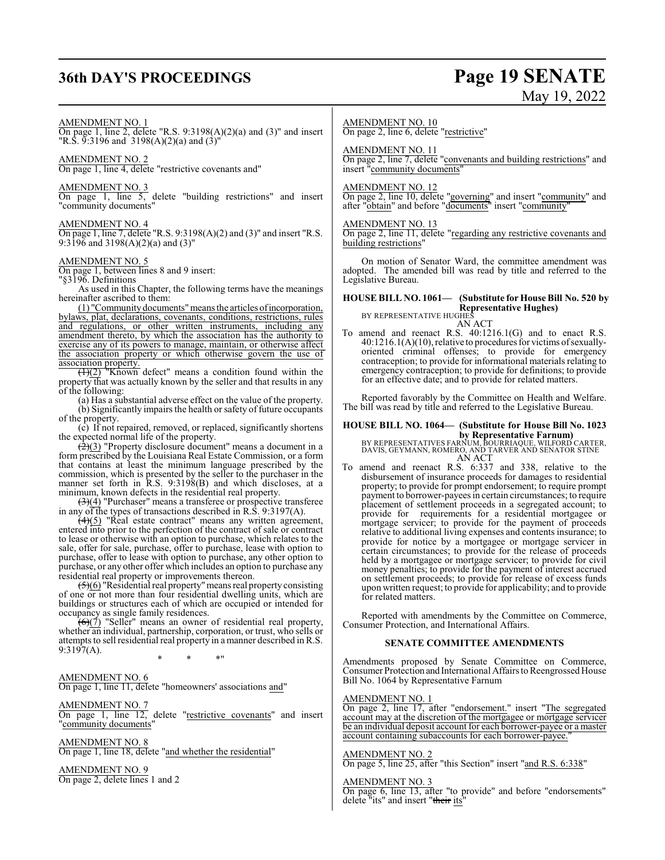## **36th DAY'S PROCEEDINGS Page 19 SENATE**

# May 19, 2022

#### AMENDMENT NO. 1

On page 1, line 2, delete "R.S. 9:3198(A)(2)(a) and (3)" and insert "R.S. 9:3196 and 3198(A)(2)(a) and (3)"

AMENDMENT NO. 2 On page 1, line 4, delete "restrictive covenants and"

AMENDMENT NO. 3

On page 1, line 5, delete "building restrictions" and insert "community documents"

#### AMENDMENT NO. 4

On page 1, line 7, delete "R.S. 9:3198(A)(2) and (3)" and insert "R.S. 9:3196 and 3198(A)(2)(a) and (3)"

#### AMENDMENT NO. 5

On page 1, between lines 8 and 9 insert:

"§3196. Definitions

As used in this Chapter, the following terms have the meanings hereinafter ascribed to them:

(1) "Communitydocuments"means the articles ofincorporation, bylaws, plat, declarations, covenants, conditions, restrictions, rules and regulations, or other written instruments, including any amendment thereto, by which the association has the authority to exercise any of its powers to manage, maintain, or otherwise affect the association property or which otherwise govern the use of association property.

 $\frac{1}{(1)(2)}$  "Known defect" means a condition found within the property that was actually known by the seller and that results in any of the following:

(a) Has a substantial adverse effect on the value of the property. (b) Significantly impairs the health or safety of future occupants of the property.

(c) If not repaired, removed, or replaced, significantly shortens the expected normal life of the property.

 $\left(\frac{2}{2}\right)(3)$  "Property disclosure document" means a document in a form prescribed by the Louisiana Real Estate Commission, or a form that contains at least the minimum language prescribed by the commission, which is presented by the seller to the purchaser in the manner set forth in R.S. 9:3198(B) and which discloses, at a minimum, known defects in the residential real property.

 $\left(\frac{3}{4}\right)$  "Purchaser" means a transferee or prospective transferee in any of the types of transactions described in R.S. 9:3197(A).

 $\left(\frac{4}{5}\right)$  "Real estate contract" means any written agreement, entered into prior to the perfection of the contract of sale or contract to lease or otherwise with an option to purchase, which relates to the sale, offer for sale, purchase, offer to purchase, lease with option to purchase, offer to lease with option to purchase, any other option to purchase, or any other offer which includes an option to purchase any residential real property or improvements thereon.

 $(5)(6)$  "Residential real property" means real property consisting of one or not more than four residential dwelling units, which are buildings or structures each of which are occupied or intended for occupancy as single family residences.

 $\left(\frac{1}{6}\right)(7)$  "Seller" means an owner of residential real property, whether an individual, partnership, corporation, or trust, who sells or attempts to sell residential real property in a manner described in R.S. 9:3197(A).

\* \* \*"

AMENDMENT NO. 6 On page 1, line 11, delete "homeowners' associations and"

AMENDMENT NO. 7 On page 1, line 12, delete "restrictive covenants" and insert "community documents"

AMENDMENT NO. 8 On page 1, line 18, delete "and whether the residential"

AMENDMENT NO. 9 On page 2, delete lines 1 and 2

#### AMENDMENT NO. 10

On page 2, line 6, delete "restrictive"

AMENDMENT NO. 11

On page 2, line 7, delete "convenants and building restrictions" and insert "community documents"

#### AMENDMENT NO. 12

On page 2, line 10, delete "governing" and insert "community" and after "obtain" and before "documents" insert "community"

#### AMENDMENT NO. 13

On page 2, line 11, delete "regarding any restrictive covenants and building restrictions"

On motion of Senator Ward, the committee amendment was adopted. The amended bill was read by title and referred to the Legislative Bureau.

#### **HOUSE BILL NO. 1061— (Substitute for House Bill No. 520 by Representative Hughes)**

BY REPRESENTATIVE HUGHES

AN ACT

To amend and reenact R.S. 40:1216.1(G) and to enact R.S. 40:1216.1(A)(10), relative to procedures for victims ofsexuallyoriented criminal offenses; to provide for emergency contraception; to provide for informational materials relating to emergency contraception; to provide for definitions; to provide for an effective date; and to provide for related matters.

Reported favorably by the Committee on Health and Welfare. The bill was read by title and referred to the Legislative Bureau.

## **HOUSE BILL NO. 1064— (Substitute for House Bill No. 1023**

**by Representative Farnum)**<br>BY REPRESENTATIVES FARNUM, BOURRIAQUE, WILFORD CARTER,<br>DAVIS, GEYMANN, ROMERO, AND TARVER AND SENATOR STINE AN ACT

To amend and reenact R.S. 6:337 and 338, relative to the disbursement of insurance proceeds for damages to residential property; to provide for prompt endorsement; to require prompt payment to borrower-payees in certain circumstances; to require placement of settlement proceeds in a segregated account; to provide for requirements for a residential mortgagee or mortgage servicer; to provide for the payment of proceeds relative to additional living expenses and contents insurance; to provide for notice by a mortgagee or mortgage servicer in certain circumstances; to provide for the release of proceeds held by a mortgagee or mortgage servicer; to provide for civil money penalties; to provide for the payment of interest accrued on settlement proceeds; to provide for release of excess funds upon written request; to provide for applicability; and to provide for related matters.

Reported with amendments by the Committee on Commerce, Consumer Protection, and International Affairs.

#### **SENATE COMMITTEE AMENDMENTS**

Amendments proposed by Senate Committee on Commerce, Consumer Protection and International Affairs to Reengrossed House Bill No. 1064 by Representative Farnum

#### AMENDMENT NO. 1

On page 2, line 17, after "endorsement." insert "The segregated account may at the discretion of the mortgagee or mortgage servicer be an individual deposit account for each borrower-payee or a master account containing subaccounts for each borrower-payee."

### AMENDMENT NO. 2

On page 5, line 25, after "this Section" insert "and R.S. 6:338"

## AMENDMENT NO. 3

On page 6, line 13, after "to provide" and before "endorsements" delete "its" and insert "their its"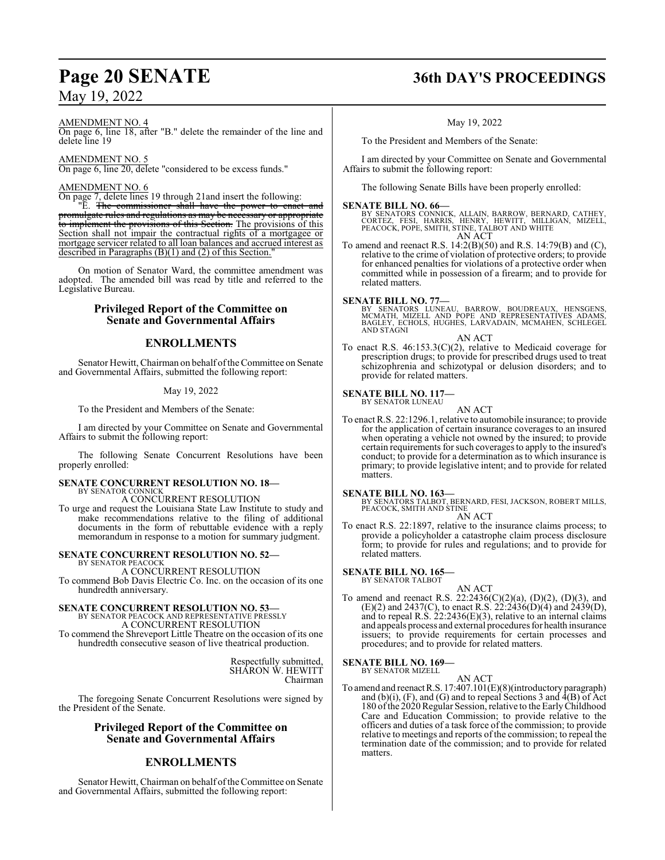#### AMENDMENT NO. 4

On page 6, line 18, after "B." delete the remainder of the line and delete line 19

#### AMENDMENT NO. 5

On page 6, line 20, delete "considered to be excess funds."

#### AMENDMENT NO. 6

On page 7, delete lines 19 through 21and insert the following:

"E. The commissioner shall have the power to enact and promulgate rules and regulations as may be necessary or appropriate to implement the provisions of this Section. The provisions of this Section shall not impair the contractual rights of a mortgagee or mortgage servicer related to all loan balances and accrued interest as described in Paragraphs (B)(1) and (2) of this Section.

On motion of Senator Ward, the committee amendment was adopted. The amended bill was read by title and referred to the Legislative Bureau.

### **Privileged Report of the Committee on Senate and Governmental Affairs**

### **ENROLLMENTS**

Senator Hewitt, Chairman on behalf ofthe Committee on Senate and Governmental Affairs, submitted the following report:

#### May 19, 2022

To the President and Members of the Senate:

I am directed by your Committee on Senate and Governmental Affairs to submit the following report:

The following Senate Concurrent Resolutions have been properly enrolled:

# **SENATE CONCURRENT RESOLUTION NO. 18—** BY SENATOR CONNICK

A CONCURRENT RESOLUTION

To urge and request the Louisiana State Law Institute to study and make recommendations relative to the filing of additional documents in the form of rebuttable evidence with a reply memorandum in response to a motion for summary judgment.

### **SENATE CONCURRENT RESOLUTION NO. 52—**

BY SENATOR PEACOCK A CONCURRENT RESOLUTION

To commend Bob Davis Electric Co. Inc. on the occasion of its one hundredth anniversary.

# **SENATE CONCURRENT RESOLUTION NO. 53—** BY SENATOR PEACOCK AND REPRESENTATIVE PRESSLY

A CONCURRENT RESOLUTION

To commend the Shreveport Little Theatre on the occasion of its one hundredth consecutive season of live theatrical production.

> Respectfully submitted, SHARON W. HEWITT Chairman

The foregoing Senate Concurrent Resolutions were signed by the President of the Senate.

#### **Privileged Report of the Committee on Senate and Governmental Affairs**

### **ENROLLMENTS**

Senator Hewitt, Chairman on behalf of the Committee on Senate and Governmental Affairs, submitted the following report:

# **Page 20 SENATE 36th DAY'S PROCEEDINGS**

May 19, 2022

To the President and Members of the Senate:

I am directed by your Committee on Senate and Governmental Affairs to submit the following report:

The following Senate Bills have been properly enrolled:

#### **SENATE BILL NO. 66—**

BY SENATORS CONNICK, ALLAIN, BARROW, BERNARD, CATHEY,<br>CORTEZ, FESI, HARRIS, HENRY, HEWITT, MILLIGAN, MIZELL,<br>PEACOCK, POPE, SMITH, STINE, TALBOT AND WHITE AN ACT

To amend and reenact R.S. 14:2(B)(50) and R.S. 14:79(B) and (C), relative to the crime of violation of protective orders; to provide for enhanced penalties for violations of a protective order when committed while in possession of a firearm; and to provide for related matters.

**SENATE BILL NO. 77—**<br>BY SENATORS LUNEAU, BARROW, BOUDREAUX, HENSGENS,<br>MCMATH, MIZELL AND POPE AND REPRESENTATIVES ADAMS,<br>BAGLEY, ECHOLS, HUGHES, LARVADAIN, MCMAHEN, SCHLEGEL<br>AND STAGNI

#### AN ACT

To enact R.S. 46:153.3(C)(2), relative to Medicaid coverage for prescription drugs; to provide for prescribed drugs used to treat schizophrenia and schizotypal or delusion disorders; and to provide for related matters.

## **SENATE BILL NO. 117—**

BY SENATOR LUNEAU AN ACT

To enact R.S. 22:1296.1, relative to automobile insurance; to provide for the application of certain insurance coverages to an insured when operating a vehicle not owned by the insured; to provide certain requirements for such coverages to apply to the insured's conduct; to provide for a determination as to which insurance is primary; to provide legislative intent; and to provide for related matters.

**SENATE BILL NO. 163—** BY SENATORS TALBOT, BERNARD, FESI, JACKSON, ROBERT MILLS, PEACOCK, SMITH AND STINE

## AN ACT

To enact R.S. 22:1897, relative to the insurance claims process; to provide a policyholder a catastrophe claim process disclosure form; to provide for rules and regulations; and to provide for related matters.

#### **SENATE BILL NO. 165—** BY SENATOR TALBOT

AN ACT

To amend and reenact R.S. 22:2436(C)(2)(a), (D)(2), (D)(3), and  $(E)(2)$  and 2437(C), to enact R.S. 22:2436(D)(4) and 2439(D), and to repeal R.S.  $22:2436(E)(3)$ , relative to an internal claims and appeals process and external procedures for health insurance issuers; to provide requirements for certain processes and procedures; and to provide for related matters.

#### **SENATE BILL NO. 169—**

BY SENATOR MIZELL AN ACT

To amend and reenactR.S. 17:407.101(E)(8)(introductory paragraph) and (b)(i), (F), and (G) and to repeal Sections 3 and  $4(B)$  of Act 180 ofthe 2020Regular Session, relative to the EarlyChildhood Care and Education Commission; to provide relative to the officers and duties of a task force of the commission; to provide relative to meetings and reports of the commission; to repeal the termination date of the commission; and to provide for related matters.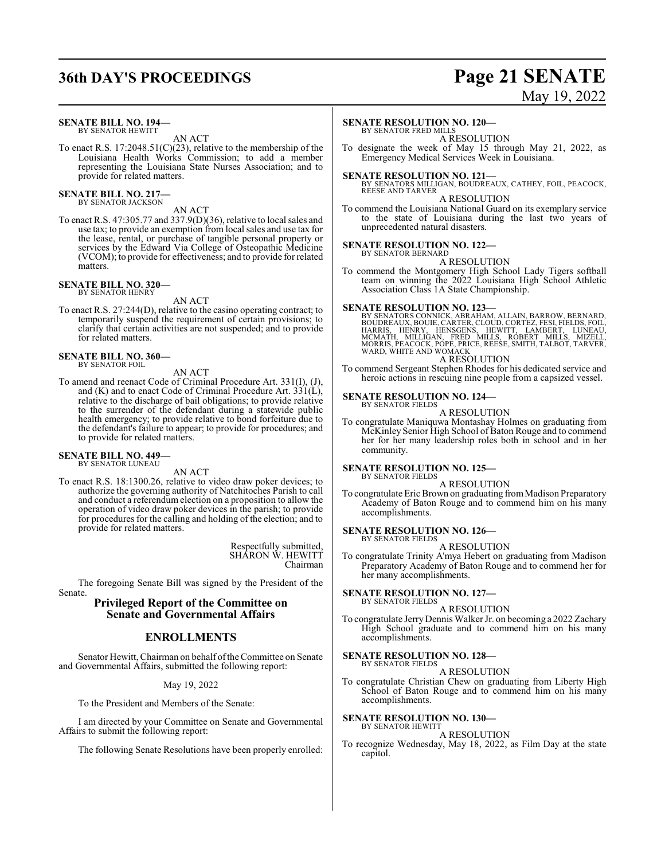## **36th DAY'S PROCEEDINGS Page 21 SENATE**

#### **SENATE BILL NO. 194—** BY SENATOR HEWITT

AN ACT

To enact R.S. 17:2048.51(C)(23), relative to the membership of the Louisiana Health Works Commission; to add a member representing the Louisiana State Nurses Association; and to provide for related matters.

**SENATE BILL NO. 217—** BY SENATOR JACKSON

AN ACT

To enact R.S. 47:305.77 and 337.9(D)(36), relative to local sales and use tax; to provide an exemption from local sales and use tax for the lease, rental, or purchase of tangible personal property or services by the Edward Via College of Osteopathic Medicine (VCOM); to provide for effectiveness; and to provide for related matters.

#### **SENATE BILL NO. 320—** BY SENATOR HENRY

AN ACT

To enact R.S. 27:244(D), relative to the casino operating contract; to temporarily suspend the requirement of certain provisions; to clarify that certain activities are not suspended; and to provide for related matters.

## **SENATE BILL NO. 360—** BY SENATOR FOIL

AN ACT

To amend and reenact Code of Criminal Procedure Art. 331(I), (J), and (K) and to enact Code of Criminal Procedure Art. 331(L), relative to the discharge of bail obligations; to provide relative to the surrender of the defendant during a statewide public health emergency; to provide relative to bond forfeiture due to the defendant's failure to appear; to provide for procedures; and to provide for related matters.

#### **SENATE BILL NO. 449—** BY SENATOR LUNEAU

AN ACT

To enact R.S. 18:1300.26, relative to video draw poker devices; to authorize the governing authority of Natchitoches Parish to call and conduct a referendum election on a proposition to allow the operation of video draw poker devices in the parish; to provide for procedures for the calling and holding of the election; and to provide for related matters.

> Respectfully submitted, SHARON W. HEWITT Chairman

The foregoing Senate Bill was signed by the President of the Senate.

#### **Privileged Report of the Committee on Senate and Governmental Affairs**

#### **ENROLLMENTS**

Senator Hewitt, Chairman on behalf of the Committee on Senate and Governmental Affairs, submitted the following report:

#### May 19, 2022

To the President and Members of the Senate:

I am directed by your Committee on Senate and Governmental Affairs to submit the following report:

The following Senate Resolutions have been properly enrolled:

#### **SENATE RESOLUTION NO. 120—**

BY SENATOR FRED MILLS A RESOLUTION

To designate the week of May 15 through May 21, 2022, as Emergency Medical Services Week in Louisiana.

**SENATE RESOLUTION NO. 121—** BY SENATORS MILLIGAN, BOUDREAUX, CATHEY, FOIL, PEACOCK, REESE AND TARVER

## A RESOLUTION

To commend the Louisiana National Guard on its exemplary service to the state of Louisiana during the last two years of unprecedented natural disasters.

#### **SENATE RESOLUTION NO. 122—** BY SENATOR BERNARD

A RESOLUTION

To commend the Montgomery High School Lady Tigers softball team on winning the 2022 Louisiana High School Athletic Association Class 1A State Championship.

SENATE RESOLUTION NO. 123—<br>BY SENATORS CONNICK, ABRAHAM, ALLAIN, BARROW, BERNARD,<br>BOUDREAUX, BOUIE, CARTER, CLOUD, CORTEZ, FESI, FIELDS, FOIL,<br>HARRIS, HENRY, HENSGENS, HEWITT, LAMBERT, LUNEAU,<br>MCMATH, MILLIGAN, FRED MILLS,

#### A RESOLUTION

To commend Sergeant Stephen Rhodes for his dedicated service and heroic actions in rescuing nine people from a capsized vessel.

# **SENATE RESOLUTION NO. 124—** BY SENATOR FIELDS

A RESOLUTION

To congratulate Maniquwa Montashay Holmes on graduating from McKinley Senior High School of Baton Rouge and to commend her for her many leadership roles both in school and in her community.

## **SENATE RESOLUTION NO. 125—** BY SENATOR FIELDS

A RESOLUTION

To congratulate Eric Brown on graduating fromMadison Preparatory Academy of Baton Rouge and to commend him on his many accomplishments.

## **SENATE RESOLUTION NO. 126—** BY SENATOR FIELDS

A RESOLUTION

To congratulate Trinity A'mya Hebert on graduating from Madison Preparatory Academy of Baton Rouge and to commend her for her many accomplishments.

#### **SENATE RESOLUTION NO. 127—**

BY SENATOR FIELDS

## A RESOLUTION

To congratulate Jerry Dennis Walker Jr. on becoming a 2022 Zachary High School graduate and to commend him on his many accomplishments.

#### **SENATE RESOLUTION NO. 128—** BY SENATOR FIELDS

A RESOLUTION

To congratulate Christian Chew on graduating from Liberty High School of Baton Rouge and to commend him on his many accomplishments.

#### **SENATE RESOLUTION NO. 130—**

BY SENATOR HEWITT A RESOLUTION

To recognize Wednesday, May 18, 2022, as Film Day at the state capitol.

# May 19, 2022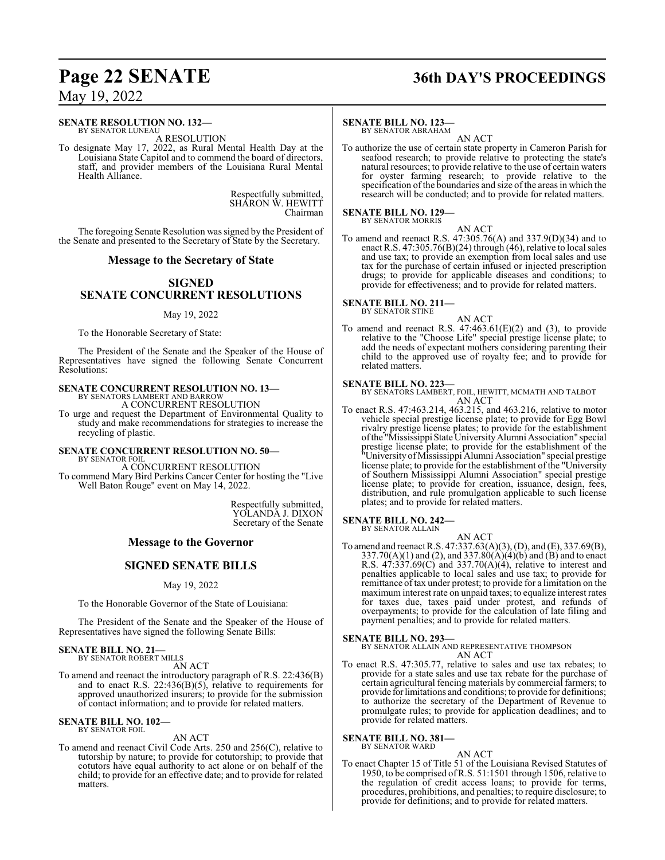#### **SENATE RESOLUTION NO. 132—**

BY SENATOR LUNEAU A RESOLUTION

To designate May 17, 2022, as Rural Mental Health Day at the Louisiana State Capitol and to commend the board of directors, staff, and provider members of the Louisiana Rural Mental Health Alliance.

> Respectfully submitted, SHARON W. HEWITT Chairman

The foregoing Senate Resolution was signed by the President of the Senate and presented to the Secretary of State by the Secretary.

#### **Message to the Secretary of State**

#### **SIGNED SENATE CONCURRENT RESOLUTIONS**

#### May 19, 2022

To the Honorable Secretary of State:

The President of the Senate and the Speaker of the House of Representatives have signed the following Senate Concurrent Resolutions:

## **SENATE CONCURRENT RESOLUTION NO. 13—** BY SENATORS LAMBERT AND BARROW

A CONCURRENT RESOLUTION

To urge and request the Department of Environmental Quality to study and make recommendations for strategies to increase the recycling of plastic.

## **SENATE CONCURRENT RESOLUTION NO. 50—** BY SENATOR FOIL

A CONCURRENT RESOLUTION To commend Mary Bird Perkins Cancer Center for hosting the "Live Well Baton Rouge" event on May 14, 2022.

> Respectfully submitted, YOLANDA J. DIXON Secretary of the Senate

#### **Message to the Governor**

#### **SIGNED SENATE BILLS**

#### May 19, 2022

To the Honorable Governor of the State of Louisiana:

The President of the Senate and the Speaker of the House of Representatives have signed the following Senate Bills:

## **SENATE BILL NO. 21—** BY SENATOR ROBERT MILLS

AN ACT

To amend and reenact the introductory paragraph of R.S. 22:436(B) and to enact R.S. 22:436(B)(5), relative to requirements for approved unauthorized insurers; to provide for the submission of contact information; and to provide for related matters.

#### **SENATE BILL NO. 102—** BY SENATOR FOIL

#### AN ACT

To amend and reenact Civil Code Arts. 250 and 256(C), relative to tutorship by nature; to provide for cotutorship; to provide that cotutors have equal authority to act alone or on behalf of the child; to provide for an effective date; and to provide for related matters.

## **Page 22 SENATE 36th DAY'S PROCEEDINGS**

#### **SENATE BILL NO. 123—**

BY SENATOR ABRAHAM AN ACT

To authorize the use of certain state property in Cameron Parish for seafood research; to provide relative to protecting the state's natural resources; to provide relative to the use of certain waters for oyster farming research; to provide relative to the specification ofthe boundaries and size of the areas in which the research will be conducted; and to provide for related matters.

## **SENATE BILL NO. 129—** BY SENATOR MORRIS

AN ACT

To amend and reenact R.S. 47:305.76(A) and 337.9(D)(34) and to enact R.S. 47:305.76(B)(24) through (46), relative to local sales and use tax; to provide an exemption from local sales and use tax for the purchase of certain infused or injected prescription drugs; to provide for applicable diseases and conditions; to provide for effectiveness; and to provide for related matters.

#### **SENATE BILL NO. 211—**

BY SENATOR STINE

#### AN ACT

To amend and reenact R.S.  $47:463.61(E)(2)$  and (3), to provide relative to the "Choose Life" special prestige license plate; to add the needs of expectant mothers considering parenting their child to the approved use of royalty fee; and to provide for related matters.

#### **SENATE BILL NO. 223—**

BY SENATORS LAMBERT, FOIL, HEWITT, MCMATH AND TALBOT AN ACT

To enact R.S. 47:463.214, 463.215, and 463.216, relative to motor vehicle special prestige license plate; to provide for Egg Bowl rivalry prestige license plates; to provide for the establishment ofthe "MississippiState UniversityAlumni Association" special prestige license plate; to provide for the establishment of the "University ofMississippi Alumni Association" special prestige license plate; to provide for the establishment of the "University of Southern Mississippi Alumni Association" special prestige license plate; to provide for creation, issuance, design, fees, distribution, and rule promulgation applicable to such license plates; and to provide for related matters.

#### **SENATE BILL NO. 242—**

BY SENATOR ALLAIN AN ACT

To amend and reenact R.S. 47:337.63(A)(3), (D), and (E), 337.69(B), 337.70(A)(1) and (2), and 337.80(A)(4)(b) and (B) and to enact R.S. 47:337.69(C) and 337.70(A)(4), relative to interest and penalties applicable to local sales and use tax; to provide for remittance of tax under protest; to provide for a limitation on the maximum interest rate on unpaid taxes; to equalize interest rates for taxes due, taxes paid under protest, and refunds of overpayments; to provide for the calculation of late filing and payment penalties; and to provide for related matters.

#### **SENATE BILL NO. 293—**

- BY SENATOR ALLAIN AND REPRESENTATIVE THOMPSON AN ACT
- To enact R.S. 47:305.77, relative to sales and use tax rebates; to provide for a state sales and use tax rebate for the purchase of certain agricultural fencing materials by commercial farmers; to provide for limitations and conditions; to provide for definitions; to authorize the secretary of the Department of Revenue to promulgate rules; to provide for application deadlines; and to provide for related matters.

**SENATE BILL NO. 381—** BY SENATOR WARD

#### AN ACT

To enact Chapter 15 of Title 51 of the Louisiana Revised Statutes of 1950, to be comprised ofR.S. 51:1501 through 1506, relative to the regulation of credit access loans; to provide for terms, procedures, prohibitions, and penalties; to require disclosure; to provide for definitions; and to provide for related matters.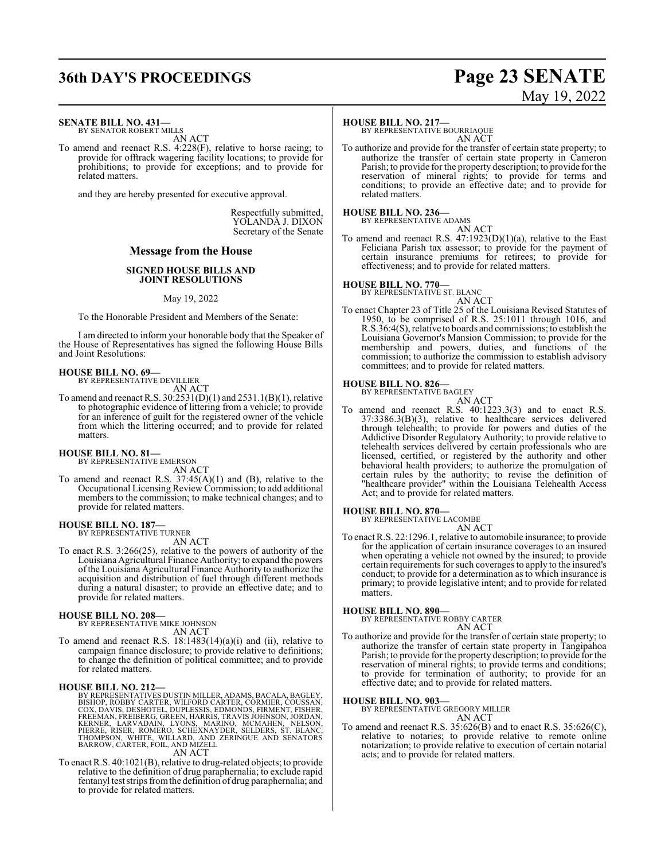## **36th DAY'S PROCEEDINGS Page 23 SENATE**

# May 19, 2022

#### **SENATE BILL NO. 431—**

BY SENATOR ROBERT MILLS AN ACT

To amend and reenact R.S. 4:228(F), relative to horse racing; to provide for offtrack wagering facility locations; to provide for prohibitions; to provide for exceptions; and to provide for related matters.

and they are hereby presented for executive approval.

Respectfully submitted, YOLANDA J. DIXON Secretary of the Senate

#### **Message from the House**

#### **SIGNED HOUSE BILLS AND JOINT RESOLUTIONS**

#### May 19, 2022

To the Honorable President and Members of the Senate:

I am directed to inform your honorable body that the Speaker of the House of Representatives has signed the following House Bills and Joint Resolutions:

## **HOUSE BILL NO. 69—** BY REPRESENTATIVE DEVILLIER

AN ACT

To amend and reenact R.S. 30:2531(D)(1) and 2531.1(B)(1), relative to photographic evidence of littering from a vehicle; to provide for an inference of guilt for the registered owner of the vehicle from which the littering occurred; and to provide for related matters.

## **HOUSE BILL NO. 81—** BY REPRESENTATIVE EMERSON

AN ACT

To amend and reenact R.S.  $37:45(A)(1)$  and (B), relative to the Occupational Licensing Review Commission; to add additional members to the commission; to make technical changes; and to provide for related matters.

#### **HOUSE BILL NO. 187—** BY REPRESENTATIVE TURNER

AN ACT

To enact R.S. 3:266(25), relative to the powers of authority of the Louisiana Agricultural Finance Authority; to expand the powers ofthe Louisiana Agricultural Finance Authority to authorize the acquisition and distribution of fuel through different methods during a natural disaster; to provide an effective date; and to provide for related matters.

#### **HOUSE BILL NO. 208—**

BY REPRESENTATIVE MIKE JOHNSON AN ACT

To amend and reenact R.S. 18:1483(14)(a)(i) and (ii), relative to campaign finance disclosure; to provide relative to definitions; to change the definition of political committee; and to provide for related matters.

#### **HOUSE BILL NO. 212—**

BY REPRESENTATIVES DUSTIN MILLER, ADAMS, BACALA, BAGLEY,<br>BISHOP, ROBBY CARTER, WILFORD CARTER, CORMIER, COUSSAN,<br>COX, DAVIS, DESHOTEL, DUPLESSIS, EDMONDS, FIRMENT, FISHER,<br>FREEMAN, FREIBERG, GREEN, HARRIS, TRAVIS JOHNSON,

#### AN ACT

To enact R.S. 40:1021(B), relative to drug-related objects; to provide relative to the definition of drug paraphernalia; to exclude rapid fentanyl test strips fromthe definition of drug paraphernalia; and to provide for related matters.

#### **HOUSE BILL NO. 217—**

BY REPRESENTATIVE BOURRIAQUE AN ACT

To authorize and provide for the transfer of certain state property; to authorize the transfer of certain state property in Cameron Parish; to provide for the property description; to provide for the reservation of mineral rights; to provide for terms and conditions; to provide an effective date; and to provide for related matters.

## **HOUSE BILL NO. 236—** BY REPRESENTATIVE ADAMS

AN ACT

To amend and reenact R.S.  $47:1923(D)(1)(a)$ , relative to the East Feliciana Parish tax assessor; to provide for the payment of certain insurance premiums for retirees; to provide for effectiveness; and to provide for related matters.

#### **HOUSE BILL NO. 770—**

BY REPRESENTATIVE ST. BLANC AN ACT

To enact Chapter 23 of Title 25 of the Louisiana Revised Statutes of 1950, to be comprised of R.S. 25:1011 through 1016, and R.S.36:4(S), relative to boards and commissions; to establish the Louisiana Governor's Mansion Commission; to provide for the membership and powers, duties, and functions of the commission; to authorize the commission to establish advisory committees; and to provide for related matters.

#### **HOUSE BILL NO. 826—** BY REPRESENTATIVE BAGLEY



To amend and reenact R.S. 40:1223.3(3) and to enact R.S. 37:3386.3(B)(3), relative to healthcare services delivered through telehealth; to provide for powers and duties of the Addictive Disorder Regulatory Authority; to provide relative to telehealth services delivered by certain professionals who are licensed, certified, or registered by the authority and other behavioral health providers; to authorize the promulgation of certain rules by the authority; to revise the definition of "healthcare provider" within the Louisiana Telehealth Access Act; and to provide for related matters.

## **HOUSE BILL NO. 870—** BY REPRESENTATIVE LACOMBE

AN ACT

To enact R.S. 22:1296.1, relative to automobile insurance; to provide for the application of certain insurance coverages to an insured when operating a vehicle not owned by the insured; to provide certain requirements for such coverages to apply to the insured's conduct; to provide for a determination as to which insurance is primary; to provide legislative intent; and to provide for related matters.

#### **HOUSE BILL NO. 890—**

BY REPRESENTATIVE ROBBY CARTER AN ACT

To authorize and provide for the transfer of certain state property; to authorize the transfer of certain state property in Tangipahoa Parish; to provide for the property description; to provide for the reservation of mineral rights; to provide terms and conditions; to provide for termination of authority; to provide for an effective date; and to provide for related matters.

#### **HOUSE BILL NO. 903—**

BY REPRESENTATIVE GREGORY MILLER

AN ACT

To amend and reenact R.S. 35:626(B) and to enact R.S. 35:626(C), relative to notaries; to provide relative to remote online notarization; to provide relative to execution of certain notarial acts; and to provide for related matters.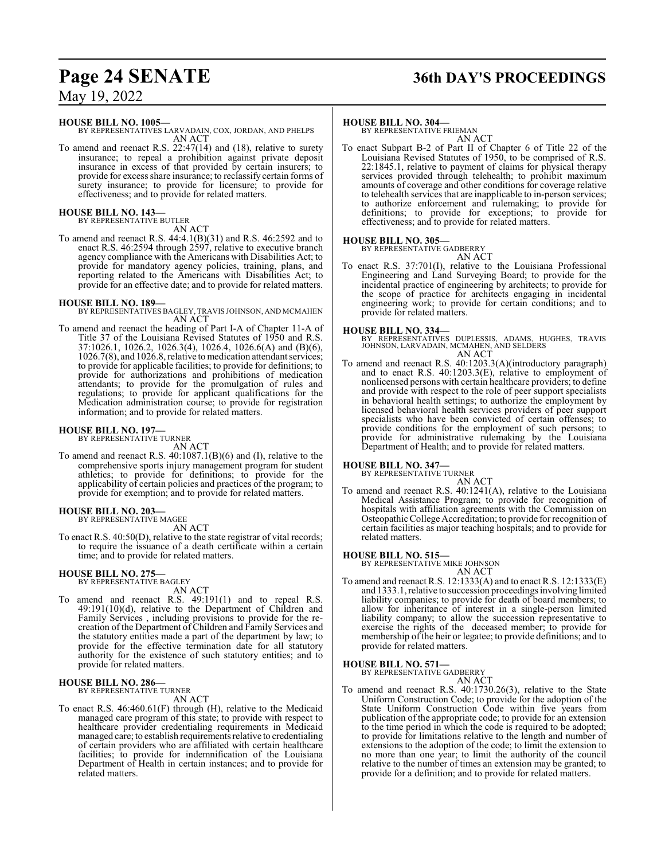## **Page 24 SENATE 36th DAY'S PROCEEDINGS**

## May 19, 2022

#### **HOUSE BILL NO. 1005—**

BY REPRESENTATIVES LARVADAIN, COX, JORDAN, AND PHELPS AN ACT

To amend and reenact R.S. 22:47(14) and (18), relative to surety insurance; to repeal a prohibition against private deposit insurance in excess of that provided by certain insurers; to provide for excess share insurance; to reclassify certain forms of surety insurance; to provide for licensure; to provide for effectiveness; and to provide for related matters.

## **HOUSE BILL NO. 143—** BY REPRESENTATIVE BUTLER

AN ACT

To amend and reenact R.S. 44:4.1(B)(31) and R.S. 46:2592 and to enact R.S. 46:2594 through 2597, relative to executive branch agency compliance with the Americans with Disabilities Act; to provide for mandatory agency policies, training, plans, and reporting related to the Americans with Disabilities Act; to provide for an effective date; and to provide for related matters.

#### **HOUSE BILL NO. 189—**

BY REPRESENTATIVES BAGLEY, TRAVIS JOHNSON, AND MCMAHEN AN ACT

To amend and reenact the heading of Part I-A of Chapter 11-A of Title 37 of the Louisiana Revised Statutes of 1950 and R.S. 37:1026.1, 1026.2, 1026.3(4), 1026.4, 1026.6(A) and (B)(6), 1026.7(8), and 1026.8, relative to medication attendant services; to provide for applicable facilities; to provide for definitions; to provide for authorizations and prohibitions of medication attendants; to provide for the promulgation of rules and regulations; to provide for applicant qualifications for the Medication administration course; to provide for registration information; and to provide for related matters.

#### **HOUSE BILL NO. 197—**

BY REPRESENTATIVE TURNER AN ACT

To amend and reenact R.S. 40:1087.1(B)(6) and (I), relative to the comprehensive sports injury management program for student athletics; to provide for definitions; to provide for the applicability of certain policies and practices of the program; to provide for exemption; and to provide for related matters.

**HOUSE BILL NO. 203—** BY REPRESENTATIVE MAGEE

AN ACT

To enact R.S. 40:50(D), relative to the state registrar of vital records; to require the issuance of a death certificate within a certain time; and to provide for related matters.

#### **HOUSE BILL NO. 275—** BY REPRESENTATIVE BAGLEY

AN ACT

To amend and reenact R.S. 49:191(1) and to repeal R.S. 49:191(10)(d), relative to the Department of Children and Family Services , including provisions to provide for the recreation of the Department of Children and Family Services and the statutory entities made a part of the department by law; to provide for the effective termination date for all statutory authority for the existence of such statutory entities; and to provide for related matters.

#### **HOUSE BILL NO. 286—**

BY REPRESENTATIVE TURNER

## AN ACT

To enact R.S. 46:460.61(F) through (H), relative to the Medicaid managed care program of this state; to provide with respect to healthcare provider credentialing requirements in Medicaid managed care; to establish requirements relative to credentialing of certain providers who are affiliated with certain healthcare facilities; to provide for indemnification of the Louisiana Department of Health in certain instances; and to provide for related matters.

#### **HOUSE BILL NO. 304—**

BY REPRESENTATIVE FRIEMAN AN ACT

To enact Subpart B-2 of Part II of Chapter 6 of Title 22 of the Louisiana Revised Statutes of 1950, to be comprised of R.S. 22:1845.1, relative to payment of claims for physical therapy services provided through telehealth; to prohibit maximum amounts of coverage and other conditions for coverage relative to telehealth services that are inapplicable to in-person services; to authorize enforcement and rulemaking; to provide for definitions; to provide for exceptions; to provide for effectiveness; and to provide for related matters.

#### **HOUSE BILL NO. 305—**

BY REPRESENTATIVE GADBERRY AN ACT

To enact R.S. 37:701(I), relative to the Louisiana Professional Engineering and Land Surveying Board; to provide for the incidental practice of engineering by architects; to provide for the scope of practice for architects engaging in incidental engineering work; to provide for certain conditions; and to provide for related matters.

**HOUSE BILL NO. 334—** BY REPRESENTATIVES DUPLESSIS, ADAMS, HUGHES, TRAVIS JOHNSON, LARVADAIN, MCMAHEN, AND SELDERS AN ACT

To amend and reenact R.S. 40:1203.3(A)(introductory paragraph) and to enact R.S. 40:1203.3(E), relative to employment of nonlicensed persons with certain healthcare providers; to define and provide with respect to the role of peer support specialists in behavioral health settings; to authorize the employment by licensed behavioral health services providers of peer support specialists who have been convicted of certain offenses; to provide conditions for the employment of such persons; to provide for administrative rulemaking by the Louisiana Department of Health; and to provide for related matters.

## **HOUSE BILL NO. 347—** BY REPRESENTATIVE TURNER

#### AN ACT

To amend and reenact R.S. 40:1241(A), relative to the Louisiana Medical Assistance Program; to provide for recognition of hospitals with affiliation agreements with the Commission on Osteopathic College Accreditation; to provide for recognition of certain facilities as major teaching hospitals; and to provide for related matters.

**HOUSE BILL NO. 515—** BY REPRESENTATIVE MIKE JOHNSON

AN ACT

To amend and reenact R.S. 12:1333(A) and to enact R.S. 12:1333(E) and 1333.1, relative to succession proceedings involving limited liability companies; to provide for death of board members; to allow for inheritance of interest in a single-person limited liability company; to allow the succession representative to exercise the rights of the deceased member; to provide for membership of the heir or legatee; to provide definitions; and to provide for related matters.

#### **HOUSE BILL NO. 571—**

BY REPRESENTATIVE GADBERRY

#### AN ACT

To amend and reenact R.S. 40:1730.26(3), relative to the State Uniform Construction Code; to provide for the adoption of the State Uniform Construction Code within five years from publication of the appropriate code; to provide for an extension to the time period in which the code is required to be adopted; to provide for limitations relative to the length and number of extensions to the adoption of the code; to limit the extension to no more than one year; to limit the authority of the council relative to the number of times an extension may be granted; to provide for a definition; and to provide for related matters.